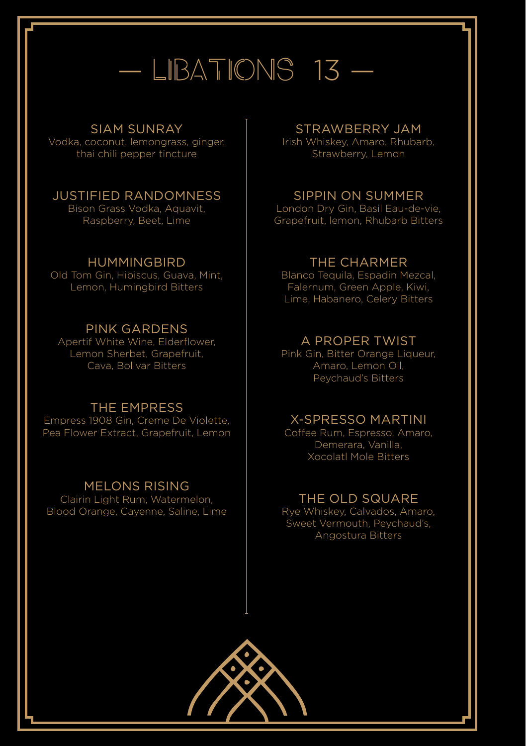## $-$  LIBATIONS 13  $-$

### SIAM SUNRAY

Vodka, coconut, lemongrass, ginger, thai chili pepper tincture

### JUSTIFIED RANDOMNESS

Bison Grass Vodka, Aquavit, Raspberry, Beet, Lime

### HUMMINGBIRD

Old Tom Gin, Hibiscus, Guava, Mint, Lemon, Humingbird Bitters

### PINK GARDENS

Apertif White Wine, Elderflower, Lemon Sherbet, Grapefruit, Cava, Bolivar Bitters

### THE EMPRESS

Empress 1908 Gin, Creme De Violette, Pea Flower Extract, Grapefruit, Lemon

### MELONS RISING

Clairin Light Rum, Watermelon, Blood Orange, Cayenne, Saline, Lime

### STRAWBERRY JAM

Irish Whiskey, Amaro, Rhubarb, Strawberry, Lemon

### SIPPIN ON SUMMER

London Dry Gin, Basil Eau-de-vie, Grapefruit, lemon, Rhubarb Bitters

### THE CHARMER

Blanco Tequila, Espadin Mezcal, Falernum, Green Apple, Kiwi, Lime, Habanero, Celery Bitters

### A PROPER TWIST

Pink Gin, Bitter Orange Liqueur, Amaro, Lemon Oil, Peychaud's Bitters

### X-SPRESSO MARTINI

Coffee Rum, Espresso, Amaro, Demerara, Vanilla, Xocolatl Mole Bitters

### THE OLD SQUARE

Rye Whiskey, Calvados, Amaro, Sweet Vermouth, Peychaud's, Angostura Bitters

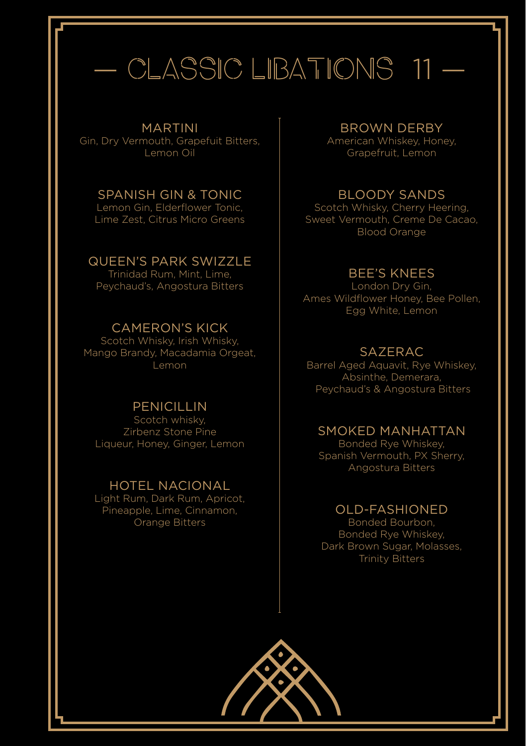## CLASSIC LIBATIONS 11 -

#### MARTINI

Gin, Dry Vermouth, Grapefuit Bitters, Lemon Oil

#### SPANISH GIN & TONIC Lemon Gin, Elderflower Tonic,

Lime Zest, Citrus Micro Greens

### QUEEN'S PARK SWIZZLE

Trinidad Rum, Mint, Lime, Peychaud's, Angostura Bitters

### CAMERON'S KICK

Scotch Whisky, Irish Whisky, Mango Brandy, Macadamia Orgeat, Lemon

### **PENICILLIN**

Scotch whisky, Zirbenz Stone Pine Liqueur, Honey, Ginger, Lemon

### HOTEL NACIONAL

Light Rum, Dark Rum, Apricot, Pineapple, Lime, Cinnamon, Orange Bitters

#### BROWN DERBY

American Whiskey, Honey, Grapefruit, Lemon

### BLOODY SANDS

Scotch Whisky, Cherry Heering, Sweet Vermouth, Creme De Cacao, Blood Orange

### BEE'S KNEES

London Dry Gin, Ames Wildflower Honey, Bee Pollen, Egg White, Lemon

### **SAZERAC**

Barrel Aged Aquavit, Rye Whiskey, Absinthe, Demerara, Peychaud's & Angostura Bitters

### SMOKED MANHATTAN

Bonded Rye Whiskey, Spanish Vermouth, PX Sherry, Angostura Bitters

### OLD-FASHIONED

Bonded Bourbon, Bonded Rye Whiskey, Dark Brown Sugar, Molasses, Trinity Bitters

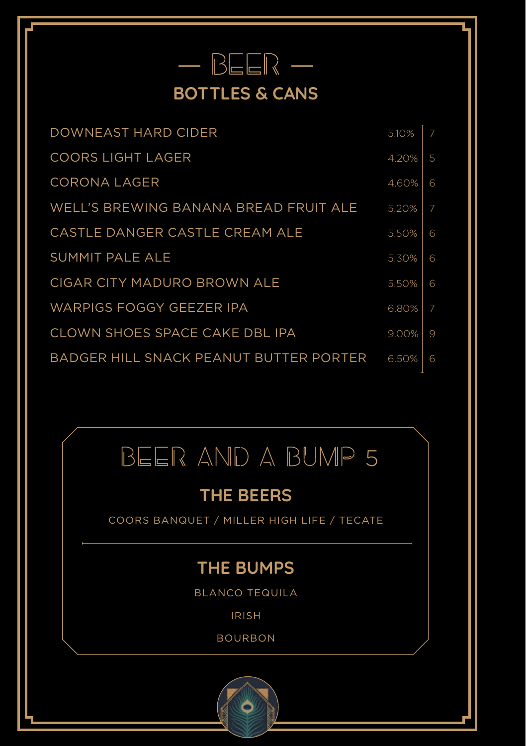### — BEER — **BOTTLES & CANS**

| DOWNEAST HARD CIDER                    | 5.10% | 7 |
|----------------------------------------|-------|---|
| <b>COORS LIGHT LAGER</b>               | 4.20% | 5 |
| CORONA LAGER                           | 4.60% | 6 |
| WELL'S BREWING BANANA BREAD FRUIT ALE  | 5.20% | 7 |
| CASTLE DANGER CASTLE CREAM ALE         | 5.50% | 6 |
| SUMMIT PALE ALE                        | 5.30% | 6 |
| CIGAR CITY MADURO BROWN ALE            | 5.50% | 6 |
| <b>WARPIGS FOGGY GEEZER IPA</b>        | 6.80% | 7 |
| CLOWN SHOES SPACE CAKE DBL IPA         | 9.00% | 9 |
| BADGER HILL SNACK PEANUT BUTTER PORTER | 6.50% | 6 |
|                                        |       |   |

## BEER AND A BUMP 5

### **THE BEERS**

COORS BANQUET / MILLER HIGH LIFE / TECATE

### **THE BUMPS**

BLANCO TEQUILA

IRISH

BOURBON

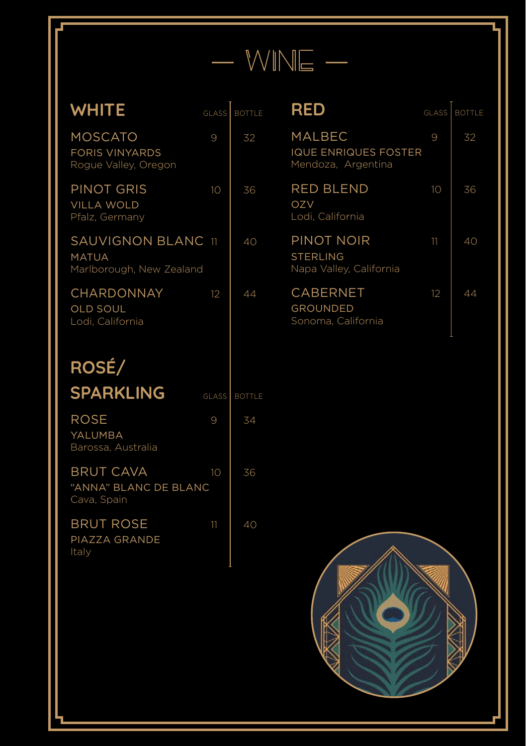|  | WINE |  |
|--|------|--|
|  |      |  |
|  |      |  |
|  |      |  |
|  |      |  |

### WHITE GLASS BOTTLE

FORIS VINYARDS Rogue Valley, Oregon

VILLA WOLD Pfalz, Germany

MATUA

**RED** 

| <b>GLASS   BOTTLE</b> |
|-----------------------|
|                       |

SOCKDOLLAGER MOOD BOARD

MALBEC  $9 \mid 32$ IQUE ENRIQUES FOSTER Mendoza, Argentina

| <b>RED BLEND</b><br>OZV<br>Lodi. California              | 10 | 36 |
|----------------------------------------------------------|----|----|
| PINOT NOIR<br><b>STERLING</b><br>Napa Valley, California | 11 | 40 |
| <b>CABERNET</b><br><b>GROUNDED</b><br>Sonoma, California | 12 | 44 |

| ۷<br>t |
|--------|
|        |
|        |

OLD SOUL

| <b>SPARKLING</b>                                  | <b>GLASS</b> | <b>BOTTLE</b> |
|---------------------------------------------------|--------------|---------------|
| <b>ROSE</b><br>YALUMBA<br>Barossa, Australia      | 9            | 34            |
| BRUT CAVA<br>"ANNA" BLANC DE BLANC<br>Cava, Spain | 10           | 36            |
| <b>BRUT ROSE</b><br>PIAZZA GRANDE<br>Italy        | 11           | 40            |

ı

 $MOSCATO$  9 32

PINOT GRIS 10 36

SAUVIGNON BLANC 11 40

 $CHARDONNAY$  12 44

Marlborough, New Zealand

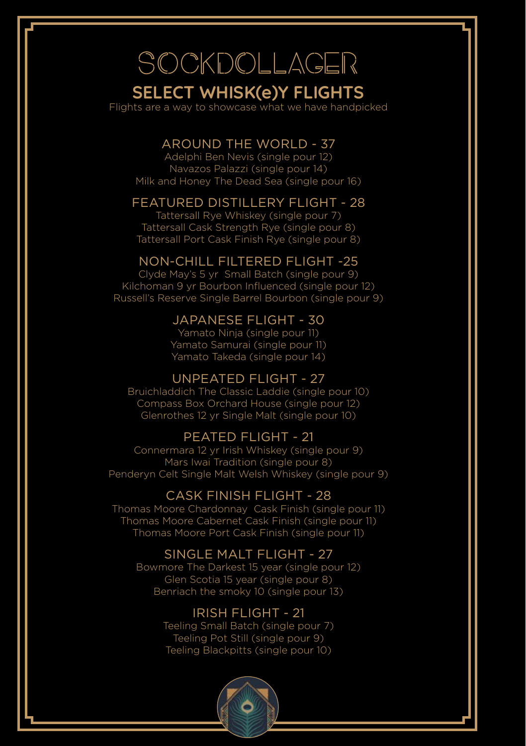## SOCKDOLLAGER

### **SELECT WHISK(e)Y FLIGHTS**

Flights are a way to showcase what we have handpicked

### AROUND THE WORLD - 37

Adelphi Ben Nevis (single pour 12) Navazos Palazzi (single pour 14) Milk and Honey The Dead Sea (single pour 16)

### FEATURED DISTILLERY FLIGHT - 28

Tattersall Rye Whiskey (single pour 7) Tattersall Cask Strength Rye (single pour 8) Tattersall Port Cask Finish Rye (single pour 8)

### NON-CHILL FILTERED FLIGHT -25

Clyde May's 5 yr Small Batch (single pour 9) Kilchoman 9 yr Bourbon Influenced (single pour 12) Russell's Reserve Single Barrel Bourbon (single pour 9)

### JAPANESE FLIGHT - 30

Yamato Ninja (single pour 11) Yamato Samurai (single pour 11) Yamato Takeda (single pour 14)

### UNPEATED FLIGHT - 27

Bruichladdich The Classic Laddie (single pour 10) Compass Box Orchard House (single pour 12) Glenrothes 12 yr Single Malt (single pour 10)

### PEATED FLIGHT - 21

Connermara 12 yr Irish Whiskey (single pour 9) Mars Iwai Tradition (single pour 8) Penderyn Celt Single Malt Welsh Whiskey (single pour 9)

### CASK FINISH FLIGHT - 28

Thomas Moore Chardonnay Cask Finish (single pour 11) Thomas Moore Cabernet Cask Finish (single pour 11) Thomas Moore Port Cask Finish (single pour 11)

### SINGLE MALT FLIGHT - 27

Bowmore The Darkest 15 year (single pour 12) Glen Scotia 15 year (single pour 8) Benriach the smoky 10 (single pour 13)

### IRISH FLIGHT - 21

Teeling Pot Still (single pour 9) Teeling Small Batch (single pour 7) Teeling Blackpitts (single pour 10)

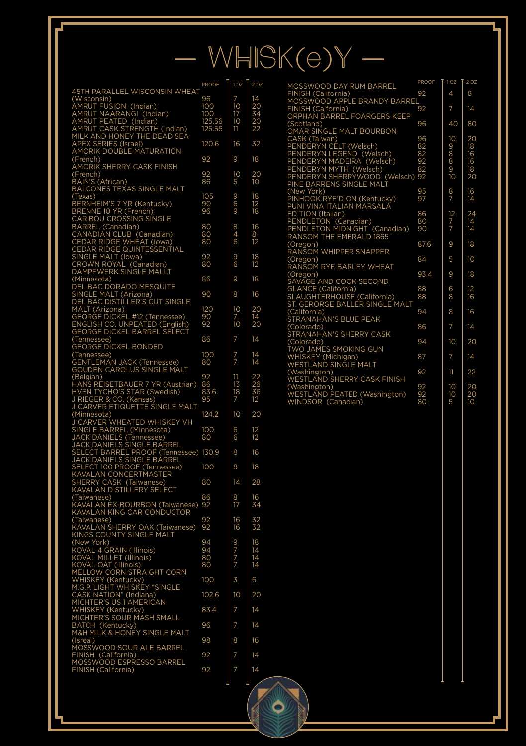# $WHISK(e)Y -$

PROOF 1 OZ 2 OZ

O

| <b>45TH PARALLEL WISCONSIN WHEAT</b>                                                                                                                                                                                                                                                                                                                                                                    | PROOF            | 10Z                                | $2^{\overline{OZ}}$  |
|---------------------------------------------------------------------------------------------------------------------------------------------------------------------------------------------------------------------------------------------------------------------------------------------------------------------------------------------------------------------------------------------------------|------------------|------------------------------------|----------------------|
|                                                                                                                                                                                                                                                                                                                                                                                                         | 96               |                                    | 14                   |
|                                                                                                                                                                                                                                                                                                                                                                                                         | 100              | 7<br>10                            | 20                   |
|                                                                                                                                                                                                                                                                                                                                                                                                         | 100              |                                    |                      |
|                                                                                                                                                                                                                                                                                                                                                                                                         |                  | $\frac{17}{10}$                    |                      |
|                                                                                                                                                                                                                                                                                                                                                                                                         | 125.56<br>125.56 | 11                                 | zo<br>34<br>20<br>22 |
| 451H PARALLEL WISCONSIN WHE<br>(Wisconsin)<br>AMRUT FUSION (Indian)<br>AMRUT NAARANGI (Indian)<br>AMRUT PEATED (Indian)<br>AMRUT CASK STRENGTH (Indian)<br>MILK AND HONEY THE DEAD SEA<br>APEX SERIES (Israel)<br>AMORIK DOUBLE MATURATION<br>AMORIK DOUB                                                                                                                                               | 120.6            | 16                                 | 32                   |
|                                                                                                                                                                                                                                                                                                                                                                                                         |                  |                                    |                      |
| (French)<br>AMORIK SHERRY CASK FINISH                                                                                                                                                                                                                                                                                                                                                                   | 92               | 9                                  | 18                   |
| Œ<br>n ronch)<br>BAIN'S (African)<br>BALCONES TEXAS SINGLE MALT                                                                                                                                                                                                                                                                                                                                         |                  |                                    | 20                   |
|                                                                                                                                                                                                                                                                                                                                                                                                         | 92<br>86         | 10<br>5                            | 10                   |
|                                                                                                                                                                                                                                                                                                                                                                                                         |                  |                                    |                      |
| BACCONNE<br>BERNHEIM'S 7 YR (Kentucky)<br>BRENNE 10 YR (French)<br>CARIBOU CROSSING SINGLE<br>CARIBEL (Canadian)                                                                                                                                                                                                                                                                                        | 105              | 9<br>9<br>9                        | 18<br>12<br>18       |
|                                                                                                                                                                                                                                                                                                                                                                                                         | 90               |                                    |                      |
|                                                                                                                                                                                                                                                                                                                                                                                                         | 96               |                                    |                      |
| CARIBOU CROSSING SINGLE<br>BARREL (Canadian)<br>CANADIAN CLUB (Canadian)<br>CEDAR RIDGE WIHEAT (IOwa)<br>CEDAR RIDGE QUINTESSENTIAL<br>SINGLE MALT (IOwa)<br>CROWN ROYAL (Canadian)<br>DAMPFWERK SINGLE MALLT                                                                                                                                                                                           |                  |                                    |                      |
|                                                                                                                                                                                                                                                                                                                                                                                                         | 80<br>80         | 8<br>6<br>6                        | 16                   |
|                                                                                                                                                                                                                                                                                                                                                                                                         | 80               |                                    | 8<br>12              |
|                                                                                                                                                                                                                                                                                                                                                                                                         |                  |                                    |                      |
|                                                                                                                                                                                                                                                                                                                                                                                                         |                  |                                    |                      |
|                                                                                                                                                                                                                                                                                                                                                                                                         | $\frac{92}{80}$  | 9<br>6                             | 18<br>12             |
|                                                                                                                                                                                                                                                                                                                                                                                                         |                  |                                    |                      |
|                                                                                                                                                                                                                                                                                                                                                                                                         | 86               | 9                                  | 18                   |
|                                                                                                                                                                                                                                                                                                                                                                                                         |                  |                                    |                      |
|                                                                                                                                                                                                                                                                                                                                                                                                         | 90               | 8                                  | 16                   |
|                                                                                                                                                                                                                                                                                                                                                                                                         |                  |                                    |                      |
|                                                                                                                                                                                                                                                                                                                                                                                                         | 120              | 10                                 | 20                   |
|                                                                                                                                                                                                                                                                                                                                                                                                         | 90               | 7<br>10                            | 14                   |
|                                                                                                                                                                                                                                                                                                                                                                                                         | 92               |                                    | 20                   |
| DAMPF WERK SINGLE MALL!<br>CMinnesota)<br>SEL BAC DORADO MESQUITE<br>SINGLE MALT (Arizona)<br>DEL BAC DISTILLER'S CUT SINGLE<br>MALT (Arizona)<br>ENGLISH CO. UNPEATED (English)<br>GEORGE DICKEL BARREL SELECT<br>GEORGE DICKEL BARREL SELECT<br>GEORGE                                                                                                                                                | 86               | 7                                  | 14                   |
| (Tennessee)<br>GEORGE DICKEL BONDED                                                                                                                                                                                                                                                                                                                                                                     |                  |                                    |                      |
|                                                                                                                                                                                                                                                                                                                                                                                                         | 100              |                                    | 14                   |
|                                                                                                                                                                                                                                                                                                                                                                                                         | 80               | $\frac{7}{7}$                      | 14                   |
| Connessee)<br>Connessee)<br>GENTLEMAN JACK (Tennessee)<br>GOUDEN CAROLUS SINGLE MALT                                                                                                                                                                                                                                                                                                                    |                  |                                    |                      |
|                                                                                                                                                                                                                                                                                                                                                                                                         | 92               | $\frac{11}{13}$<br>$\frac{13}{18}$ | 22                   |
|                                                                                                                                                                                                                                                                                                                                                                                                         | 86               |                                    |                      |
|                                                                                                                                                                                                                                                                                                                                                                                                         | 83.6             |                                    | 26<br>36             |
|                                                                                                                                                                                                                                                                                                                                                                                                         | 95               |                                    |                      |
| OUDLINE<br>(Belgian)<br>HANS REISETBAUER 7 YR (Austrian)<br>HYEN TYCHO'S STAR (Swedish)<br>J RIEGER & CO. (Kansas)<br>J CARVER ETIQUETTE SINGLE MALT<br>J CARVER ETIQUETTE SINGLE MALI<br>(Minnesota)<br>J CARVER WHEATED WHISKEY VH<br>SINGLE BARREL (Minnesota)<br>JACK DANIELS (Tennessee) 80<br>JACK DANIELS (Tennessee) 80<br>JACK DANIELS SINGLE BARREL<br>SELECT TOO PROOF (Tennessee) 130.9<br> |                  |                                    |                      |
|                                                                                                                                                                                                                                                                                                                                                                                                         |                  | 10                                 | 20                   |
|                                                                                                                                                                                                                                                                                                                                                                                                         |                  |                                    |                      |
|                                                                                                                                                                                                                                                                                                                                                                                                         |                  | 6<br>6                             | $\frac{12}{12}$      |
|                                                                                                                                                                                                                                                                                                                                                                                                         |                  |                                    |                      |
|                                                                                                                                                                                                                                                                                                                                                                                                         |                  | 8                                  | 16                   |
|                                                                                                                                                                                                                                                                                                                                                                                                         |                  |                                    |                      |
|                                                                                                                                                                                                                                                                                                                                                                                                         |                  | 9                                  | 18                   |
|                                                                                                                                                                                                                                                                                                                                                                                                         |                  |                                    |                      |
|                                                                                                                                                                                                                                                                                                                                                                                                         |                  | $\overline{14}$                    | 28                   |
|                                                                                                                                                                                                                                                                                                                                                                                                         |                  |                                    |                      |
|                                                                                                                                                                                                                                                                                                                                                                                                         | 86               | $\frac{8}{17}$                     | 16                   |
|                                                                                                                                                                                                                                                                                                                                                                                                         | 92               |                                    | 34                   |
|                                                                                                                                                                                                                                                                                                                                                                                                         |                  |                                    |                      |
|                                                                                                                                                                                                                                                                                                                                                                                                         | 92<br>92         | 16<br>16                           | 32<br>32             |
|                                                                                                                                                                                                                                                                                                                                                                                                         |                  |                                    |                      |
|                                                                                                                                                                                                                                                                                                                                                                                                         | 94               |                                    |                      |
|                                                                                                                                                                                                                                                                                                                                                                                                         | 94               |                                    | 18<br>14<br>14       |
|                                                                                                                                                                                                                                                                                                                                                                                                         | 80               |                                    |                      |
|                                                                                                                                                                                                                                                                                                                                                                                                         | 80               | 9777                               | 14                   |
|                                                                                                                                                                                                                                                                                                                                                                                                         |                  |                                    |                      |
|                                                                                                                                                                                                                                                                                                                                                                                                         | 100              | 3                                  | 6                    |
|                                                                                                                                                                                                                                                                                                                                                                                                         |                  |                                    |                      |
|                                                                                                                                                                                                                                                                                                                                                                                                         | 102.6            | 10                                 | 20                   |
|                                                                                                                                                                                                                                                                                                                                                                                                         |                  |                                    |                      |
|                                                                                                                                                                                                                                                                                                                                                                                                         | 83.4             | 7                                  | 14                   |
|                                                                                                                                                                                                                                                                                                                                                                                                         | 96               | 7                                  |                      |
|                                                                                                                                                                                                                                                                                                                                                                                                         |                  |                                    | 14                   |
| KAVALAN KING CAR CONDUCTOR<br>(Taiwanese)<br>(Taiwanese)<br>KAVALAN SHERRY OAK (Taiwanese)<br>KINGS COUNTY SINGLE MALT<br>KINGS COUNTY SINGLE MALT<br>KOVAL 4 GRAIN (Illinois)<br>KOVAL 4 GRAIN (Illinois)<br>KOVAL OAT (Illinois)<br>KOVAL OAT<br>(Isreal)                                                                                                                                             | 98               | 8                                  | 16                   |
|                                                                                                                                                                                                                                                                                                                                                                                                         |                  |                                    |                      |
|                                                                                                                                                                                                                                                                                                                                                                                                         | 92               | 7                                  | 14                   |
|                                                                                                                                                                                                                                                                                                                                                                                                         |                  |                                    |                      |
| (151881)<br>MOSSWOOD SOUR ALE BARREL<br>FINISH (California)<br>MOSSWOOD ESPRESSO BARREL<br>FINISH (California)                                                                                                                                                                                                                                                                                          | 92               | 7                                  | 14                   |
|                                                                                                                                                                                                                                                                                                                                                                                                         |                  |                                    |                      |

| MOSSWOOD DAY RUM BARREL            | PROOF | 102             | 2 OZ |
|------------------------------------|-------|-----------------|------|
| FINISH (California)                | 92    | 4               | 8    |
| MOSSWOOD APPLE BRANDY BARREL       |       |                 |      |
| FINISH (Calfornia)                 | 92    | $\overline{7}$  | 14   |
| <b>ORPHAN BARREL FOARGERS KEEP</b> |       |                 |      |
| (Scotland)                         | 96    | 40              | 80   |
| OMAR SINGLE MALT BOURBON           |       |                 |      |
| CASK (Taiwan)                      | 96    | 10              | 20   |
| PENDERYN CELT (Welsch)             | 82    | 9               | 18   |
| PENDERYN LEGEND (Welsch)           | 82    | 8               | 16   |
| PENDERYN MADEIRA (Welsch)          | 92    | 8               | 16   |
| PENDERYN MYTH (Welsch)             | 82    | 9               | 18   |
| PENDERYN SHERRYWOOD (Welsch) 92    |       | 10              | 20   |
| PINE BARRENS SINGLE MALT           |       |                 |      |
| (New York)                         | 95    | $\frac{8}{7}$   | 16   |
| PINHOOK RYE'D ON (Kentucky)        | 97    |                 | 14   |
| PUNI VINA ITALIAN MARSALA          |       |                 |      |
| <b>EDITION (Italian)</b>           | 86    | 12              | 24   |
| PENDLETON (Canadian)               | 80    | $\frac{7}{7}$   | 14   |
| PENDLETON MIDNIGHT (Canadian)      | 90    |                 | 14   |
| RANSOM THE EMERALD 1865            |       |                 | 18   |
| (Oregon)<br>RANSOM WHIPPER SNAPPER | 87.6  | 9               |      |
| (Oregon)                           | 84    | 5               | 10   |
| RANSOM RYE BARLEY WHEAT            |       |                 |      |
| (Oregon)                           | 93.4  | 9               | 18   |
| SAVAGE AND COOK SECOND             |       |                 |      |
| <b>GLANCE</b> (California)         | 88    | 6               | 12   |
| SLAUGHTERHOUSE (California)        | 88    | 8               | 16   |
| ST. GERORGE BALLER SINGLE MALT     |       |                 |      |
| (California)                       | 94    | 8               | 16   |
| <b>STRANAHAN'S BLUE PEAK</b>       |       |                 |      |
| (Colorado)                         | 86    | $\overline{7}$  | 14   |
| STRANAHAN'S SHERRY CASK            |       |                 |      |
| (Colorado)                         | 94    | 10 <sup>°</sup> | 20   |
| <b>TWO JAMES SMOKING GUN</b>       |       |                 |      |
| WHISKEY (Michigan)                 | 87    | $\overline{7}$  | 14   |
| <b>WESTLAND SINGLE MALT</b>        |       |                 |      |
| (Washington)                       | 92    | 11              | 22   |
| <b>WESTLAND SHERRY CASK FINISH</b> |       |                 |      |
| (Washington)                       | 92    | 10              | 20   |
| WESTLAND PEATED (Washington)       | 92    | 10              | 20   |
| WINDSOR (Canadian)                 | 80    | 5               | 10   |
|                                    |       |                 |      |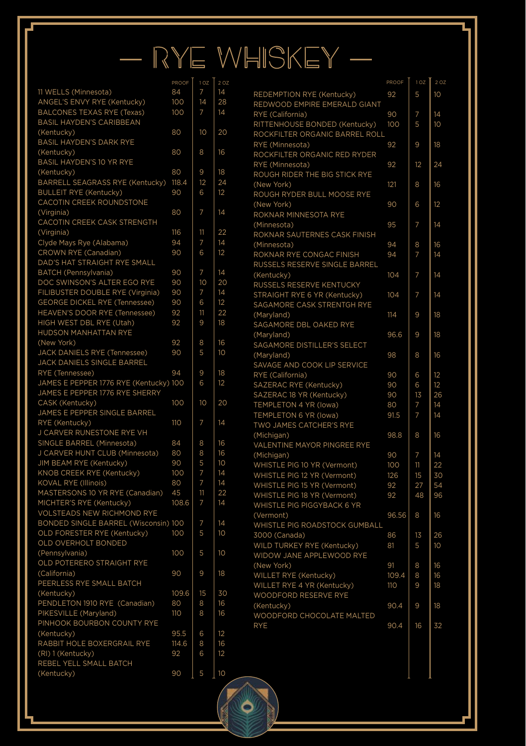# — RYE WHISKEY —

Ó

2 OJ<br>14<br>14<br>14

| 11 WELLS (Minnesota)                             | 84    | 7               | 14              |
|--------------------------------------------------|-------|-----------------|-----------------|
| ANGEL'S ENVY RYE (Kentucky)                      | 100   | $\overline{14}$ | 28              |
| <b>BALCONES TEXAS RYE (Texas)</b>                | 100   | 7               | 14              |
| BASIL HAYDEN'S CARIBBEAN                         |       |                 |                 |
| (Kentucky)                                       | 80    | 10              | 20              |
| <b>BASIL HAYDEN'S DARK RYE</b>                   |       |                 |                 |
| (Kentucky)                                       | 80    | 8               | 16              |
| <b>BASIL HAYDEN'S 10 YR RYE</b>                  |       |                 |                 |
| (Kentucky)                                       | 80    | 9               | 18              |
| BARRELL SEAGRASS RYE (Kentucky)                  | 118.4 | 12              | 24              |
| <b>BULLEIT RYE (Kentucky)</b>                    | 90    | 6               | 12              |
| CACOTIN CREEK ROUNDSTONE                         |       |                 |                 |
| (Virginia)                                       | 80    | 7               | 14              |
| CACOTIN CREEK CASK STRENGTH                      |       |                 |                 |
| (Virginia)                                       | 116   | 11              | 22              |
|                                                  | 94    | 7               | 14              |
| Clyde Mays Rye (Alabama)<br>CROWN RYE (Canadian) | 90    | 6               | 12              |
|                                                  |       |                 |                 |
| DAD'S HAT STRAIGHT RYE SMALL                     |       |                 | 14              |
| <b>BATCH</b> (Pennsylvania)                      | 90    | 7               |                 |
| DOC SWINSON'S ALTER EGO RYE                      | 90    | 10              | 20              |
| FILIBUSTER DOUBLE RYE (Virginia)                 | 90    | 7               | 14              |
| <b>GEORGE DICKEL RYE (Tennessee)</b>             | 90    | 6               | 12              |
| HEAVEN'S DOOR RYE (Tennessee)                    | 92    | 11              | 22              |
| HIGH WEST DBL RYE (Utah)                         | 92    | 9               | 18              |
| HUDSON MANHATTAN RYE                             |       |                 |                 |
| (New York)                                       | 92    | 8               | 16              |
| JACK DANIELS RYE (Tennessee)                     | 90    | 5               | 10              |
| JACK DANIELS SINGLE BARREL                       |       |                 |                 |
| RYE (Tennessee)                                  | 94    | 9               | 18              |
| JAMES E PEPPER 1776 RYE (Kentucky) 100           |       | 6               | 12              |
| JAMES E PEPPER 1776 RYE SHERRY                   |       |                 |                 |
| CASK (Kentucky)                                  | 100   | 10              | 20              |
| JAMES E PEPPER SINGLE BARREL                     |       |                 |                 |
| RYE (Kentucky)                                   | 110   | 7               | 14              |
| J CARVER RUNESTONE RYE VH                        |       |                 |                 |
| SINGLE BARREL (Minnesota)                        | 84    | 8               | 16              |
| J CARVER HUNT CLUB (Minnesota)                   | 80    | 8               | 16              |
| JIM BEAM RYE (Kentucky)                          | 90    | 5               | 10              |
| KNOB CREEK RYE (Kentucky)                        | 100   | 7               | 14              |
| KOVAL RYE (Illinois)                             | 80    | 7               | 14              |
| MASTERSONS 10 YR RYE (Canadian)                  | 45    | 11              | 22              |
| MICHTER'S RYE (Kentucky)                         | 108.6 | 7               | $\overline{14}$ |
| VOLSTEADS NEW RICHMOND RYE                       |       |                 |                 |
| BONDED SINGLE BARREL (Wisconsin) 100             |       | 7               | 14              |
| OLD FORESTER RYE (Kentucky)                      | 100   | 5               | 10              |
| OLD OVERHOLT BONDED                              |       |                 |                 |
| (Pennsylvania)                                   | 100   | 5               | 10              |
| OLD POTERERO STRAIGHT RYE                        |       |                 |                 |
| (California)                                     | 90    | 9               | 18              |
| PEERLESS RYE SMALL BATCH                         |       |                 |                 |
| (Kentucky)                                       | 109.6 | 15              | 30              |
| PENDLETON 1910 RYE (Canadian)                    | 80    | 8               | 16              |
| PIKESVILLE (Maryland)                            | 110   | 8               | 16              |
|                                                  |       |                 |                 |
| PINHOOK BOURBON COUNTY RYE                       | 95.5  | 6               |                 |
| (Kentucky)                                       |       | 8               | 12              |
| RABBIT HOLE BOXERGRAIL RYE                       | 114.6 |                 | 16              |
| (RI) 1 (Kentucky)                                | 92    | 6               | 12              |
| REBEL YELL SMALL BATCH                           |       |                 |                 |
| (Kentucky)                                       | 90    | 5               | 10              |

|                                                           | PROOF | 1 O2 | 2 OZ            |
|-----------------------------------------------------------|-------|------|-----------------|
| REDEMPTION RYE (Kentucky)<br>REDWOOD EMPIRE EMERALD GIANT | 92    | 5    | 10              |
| RYE (California)                                          | 90    | 7    | 14              |
| RITTENHOUSE BONDED (Kentucky)                             | 100   | 5    | 10              |
|                                                           |       |      |                 |
| ROCKFILTER ORGANIC BARREL ROLL                            |       |      |                 |
| RYE (Minnesota)                                           | 92    | 9    | 18              |
| ROCKFILTER ORGANIC RED RYDER                              |       |      |                 |
| RYE (Minnesota)                                           | 92    | 12   | 24              |
| ROUGH RIDER THE BIG STICK RYE                             |       |      |                 |
| (New York)                                                | 121   | 8    | 16              |
| ROUGH RYDER BULL MOOSE RYE                                |       |      |                 |
| (New York)                                                | 90    | 6    | 12              |
| ROKNAR MINNESOTA RYE                                      |       |      |                 |
| (Minnesota)                                               | 95    | 7    | 14              |
| ROKNAR SAUTERNES CASK FINISH                              |       |      |                 |
|                                                           |       |      |                 |
| (Minnesota)                                               | 94    | 8    | 16              |
| ROKNAR RYE CONGAC FINISH                                  | 94    | 7    | 14              |
| RUSSELS RESERVE SINGLE BARREL                             |       |      |                 |
| (Kentucky)                                                | 104   | 7    | 14              |
| RUSSELS RESERVE KENTUCKY                                  |       |      |                 |
| STRAIGHT RYE 6 YR (Kentucky)                              | 104   | 7    | $\overline{14}$ |
| SAGAMORE CASK STRENTGH RYE                                |       |      |                 |
| (Maryland)                                                | 114   | 9    | 18              |
| SAGAMORE DBL OAKED RYE                                    |       |      |                 |
| (Maryland)                                                | 96.6  | 9    | 18              |
| SAGAMORE DISTILLER'S SELECT                               |       |      |                 |
| (Maryland)                                                | 98    | 8    | 16              |
|                                                           |       |      |                 |
| SAVAGE AND COOK LIP SERVICE                               |       |      |                 |
| RYE (California)                                          | 90    | 6    | 12              |
| SAZERAC RYE (Kentucky)                                    | 90    | 6    | 12              |
| SAZERAC 18 YR (Kentucky)                                  | 90    | 13   | 26              |
| TEMPLETON 4 YR (lowa)                                     | 80    | 7    | 14              |
| TEMPLETON 6 YR (lowa)                                     | 91.5  | 7    | 14              |
| TWO JAMES CATCHER'S RYE                                   |       |      |                 |
| (Michigan)                                                | 98.8  | 8    | 16              |
| VALENTINE MAYOR PINGREE RYE                               |       |      |                 |
| (Michigan)                                                | 90    | 7    | 14              |
| WHISTLE PIG 10 YR (Vermont)                               | 100   | 11   | 22              |
| WHISTLE PIG 12 YR (Vermont)                               | 126   | 15   | 30              |
|                                                           |       |      | 54              |
| WHISTLE PIG 15 YR (Vermont)                               | 92    | 27   |                 |
| WHISTLE PIG 18 YR (Vermont)                               | 92    | 48   | 96              |
| WHISTLE PIG PIGGYBACK 6 YR                                |       |      |                 |
| (Vermont)                                                 | 96.56 | 8    | 16              |
| WHISTLE PIG ROADSTOCK GUMBALL                             |       |      |                 |
| 3000 (Canada)                                             | 86    | 13   | 26              |
| WILD TURKEY RYE (Kentucky)                                | 81    | 5    | 10              |
| WIDOW JANE APPLEWOOD RYE                                  |       |      |                 |
| (New York)                                                | 91    | 8    | 16              |
| WILLET RYE (Kentucky)                                     | 109.4 | 8    | 16              |
| WILLET RYE 4 YR (Kentucky)                                | 110   | 9    | 18              |
| WOODFORD RESERVE RYE                                      |       |      |                 |
|                                                           | 90.4  | 9    | 18              |
| (Kentucky)                                                |       |      |                 |
|                                                           |       |      |                 |
| WOODFORD CHOCOLATE MALTED                                 |       |      |                 |
| <b>RYE</b>                                                | 90.4  | 16   | 32              |
|                                                           |       |      |                 |
|                                                           |       |      |                 |
|                                                           |       |      |                 |
|                                                           |       |      |                 |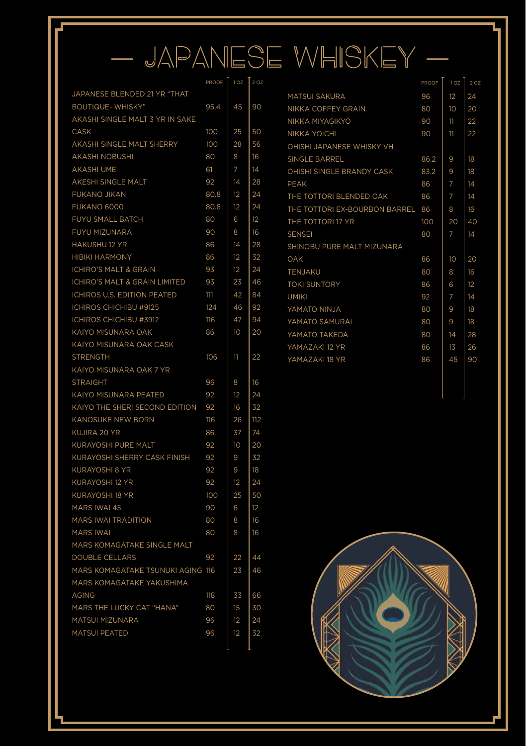# — JAPANESE WHISKEY —

|                                     | PROOF | 102 | 2 OZ |
|-------------------------------------|-------|-----|------|
| JAPANESE BLENDED 21 YR "THAT        |       |     |      |
| <b>BOUTIQUE- WHISKY"</b>            | 95.4  | 45  | 90   |
| AKASHI SINGLE MALT 3 YR IN SAKE     |       |     |      |
| <b>CASK</b>                         | 100   | 25  | 50   |
| AKASHI SINGLE MALT SHERRY           | 100   | 28  | 56   |
| <b>AKASHI NOBUSHI</b>               | 80    | 8   | 16   |
| <b>AKASHI UME</b>                   | 61    | 7   | 14   |
| AKESHI SINGLE MALT                  | 92    | 14  | 28   |
| FUKANO JIKAN                        | 80.8  | 12  | 24   |
| FUKANO 6000                         | 80.8  | 12  | 24   |
| FUYU SMALL BATCH                    | 80    | 6   | 12   |
| FUYU MIZUNARA                       | 90    | 8   | 16   |
| HAKUSHU 12 YR                       | 86    | 14  | 28   |
| <b>HIBIKI HARMONY</b>               | 86    | 12  | 32   |
| <b>ICHIRO'S MALT &amp; GRAIN</b>    | 93    | 12  | 24   |
| ICHIRO'S MALT & GRAIN LIMITED       | 93    | 23  | 46   |
| ICHIROS U.S. EDITION PEATED         | 111   | 42  | 84   |
| <b>ICHIROS CHICHIBU #9125</b>       | 124   | 46  | 92   |
| ICHIROS CHICHIBU #3912              | 116   | 47  | 94   |
| KAIYO MISUNARA OAK                  | 86    | 10  | 20   |
| KAIYO MISUNARA OAK CASK             |       |     |      |
| <b>STRENGTH</b>                     | 106   | 11  | 22   |
| KAIYO MISUNARA OAK 7 YR             |       |     |      |
| <b>STRAIGHT</b>                     | 96    | 8   | 16   |
| KAIYO MISUNARA PEATED               | 92    | 12  | 24   |
| KAIYO THE SHERI SECOND EDITION      | 92    | 16  | 32   |
| <b>KANOSUKE NEW BORN</b>            | 116   | 26  | 112  |
| KUJIRA 20 YR                        | 86    | 37  | 74   |
| <b>KURAYOSHI PURE MALT</b>          | 92    | 10  | 20   |
| <b>KURAYOSHI SHERRY CASK FINISH</b> | 92    | 9   | 32   |
| <b>KURAYOSHI 8 YR</b>               | 92    | 9   | 18   |
| KURAYOSHI 12 YR                     | 92    | 12  | 24   |
| <b>KURAYOSHI 18 YR</b>              | 100   | 25  | 50   |
| MARS IWAI 45                        | 90    | 6   | 12   |
| <b>MARS IWAI TRADITION</b>          | 80    | 8   | 16   |
| <b>MARS IWAI</b>                    | 80    | 8   | 16   |
| MARS KOMAGATAKE SINGLE MALT         |       |     |      |
| <b>DOUBLE CELLARS</b>               | 92    | 22  | 44   |
| MARS KOMAGATAKE TSUNUKI AGING 116   |       | 23  | 46   |
| MARS KOMAGATAKE YAKUSHIMA           |       |     |      |
| <b>AGING</b>                        | 118   | 33  | 66   |
| MARS THE LUCKY CAT "HANA"           | 80    | 15  | 30   |
| MATSUI MIZUNARA                     | 96    | 12  | 24   |
| <b>MATSUI PEATED</b>                | 96    | 12  | 32   |
|                                     |       |     |      |

|                                  | PROOF | 1 <sub>OZ</sub> | 2 OZ |
|----------------------------------|-------|-----------------|------|
| <b>MATSUL SAKURA</b>             | 96    | 12              | 24   |
| NIKKA COFFEY GRAIN               | 80    | 10 <sup>2</sup> | 20   |
| NIKKA MIYAGIKYO                  | 90    | 11              | 22   |
| NIKKA YOICHI                     | 90    | 11              | 22   |
| OHISHI JAPANESE WHISKY VH        |       |                 |      |
| SINGLE BARREL                    | 86.2  | 9               | 18   |
| OHISHI SINGLE BRANDY CASK        | 83.2  | 9               | 18   |
| PEAK                             | 86    | 7               | 14   |
| THE TOTTORI BLENDED OAK          | 86    | 7               | 14   |
| THE TOTTORI EX-BOURBON BARREL 86 |       | 8               | 16   |
| THE TOTTORI 17 YR                | 100   | 20              | 40   |
| <b>SENSEI</b>                    | 80    | 7               | 14   |
| SHINOBU PURE MALT MIZUNARA       |       |                 |      |
| OAK                              | 86    | 10              | 20   |
| <b>TENJAKU</b>                   | 80    | 8               | 16   |
| <b>TOKI SUNTORY</b>              | 86    | 6               | 12   |
| <b>UMIKI</b>                     | 92    | 7               | 14   |
| YAMATO NINJA                     | 80    | 9               | 18   |
| YAMATO SAMURAI                   | 80    | 9               | 18   |
| YAMATO TAKEDA                    | 80    | 14              | 28   |
| YAMAZAKI 12 YR                   | 86    | 13              | 26   |
| YAMAZAKI 18 YR                   | 86    | 45              | 90   |
|                                  |       |                 |      |



SOCKDOLLAGER MOOD BOARD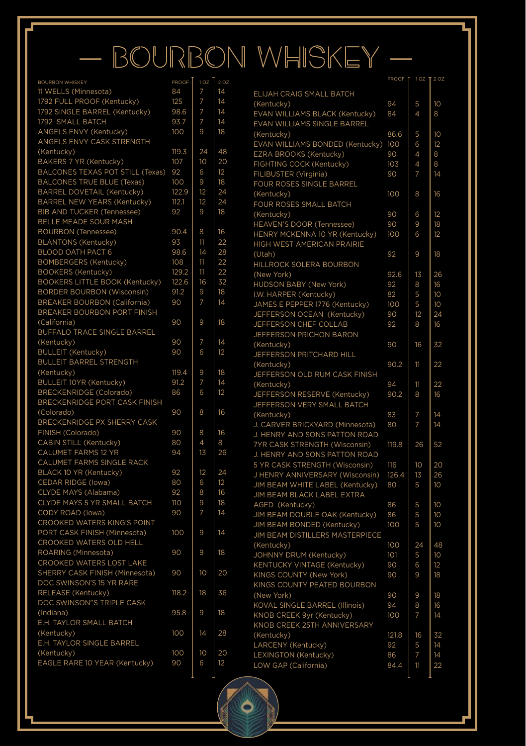# — BOURBON WHISKEY —

Ó

| <b>BOURBON WHISKEY</b>                | PROOF | 1 <sub>OZ</sub> | 2 OZ |
|---------------------------------------|-------|-----------------|------|
| 11 WELLS (Minnesota)                  | 84    | 7               | 14   |
| 1792 FULL PROOF (Kentucky)            | 125   | 7               | 14   |
| 1792 SINGLE BARREL (Kentucky)         | 98.6  | 7               | 14   |
| 1792 SMALL BATCH                      | 93.7  | 7               | 14   |
| ANGELS ENVY (Kentucky)                | 100   | 9               | 18   |
| ANGELS ENVY CASK STRENGTH             |       |                 |      |
| (Kentucky)                            | 119.3 | 24              | 48   |
| BAKERS 7 YR (Kentucky)                | 107   | 10              | 20   |
| BALCONES TEXAS POT STILL (Texas)      | 92    | 6               | 12   |
| <b>BALCONES TRUE BLUE (Texas)</b>     | 100   | 9               | 18   |
| BARREL DOVETAIL (Kentucky)            | 122.9 | 12              | 24   |
| <b>BARREL NEW YEARS (Kentucky)</b>    | 112.1 | 12              | 24   |
| BIB AND TUCKER (Tennessee)            | 92    | 9               | 18   |
| BELLE MEADE SOUR MASH                 |       |                 |      |
| <b>BOURBON (Tennessee)</b>            | 90.4  | 8               | 16   |
| <b>BLANTONS (Kentucky)</b>            | 93    | 11              | 22   |
| BLOOD OATH PACT 6                     | 98.6  | 14              | 28   |
| <b>BOMBERGERS (Kentucky)</b>          | 108   | 11              | 22   |
| <b>BOOKERS (Kentucky)</b>             | 129.2 | 11              | 22   |
| <b>BOOKERS LITTLE BOOK (Kentucky)</b> | 122.6 | 16              | 32   |
| <b>BORDER BOURBON (Wisconsin)</b>     | 91.2  | 9               | 18   |
| <b>BREAKER BOURBON (California)</b>   | 90    | 7               | 14   |
| BREAKER BOURBON PORT FINISH           |       |                 |      |
| (California)                          | 90    | 9               | 18   |
| <b>BUFFALO TRACE SINGLE BARREL</b>    |       |                 |      |
| (Kentucky)                            | 90    | 7               | 14   |
| <b>BULLEIT</b> (Kentucky)             | 90    | 6               | 12   |
| <b>BULLEIT BARREL STRENGTH</b>        |       |                 |      |
| (Kentucky)                            | 119.4 | 9               | 18   |
| <b>BULLEIT 10YR (Kentucky)</b>        | 91.2  | 7               | 14   |
| <b>BRECKENRIDGE (Colorado)</b>        | 86    | 6               | 12   |
| BRECKENRIDGE PORT CASK FINISH         |       |                 |      |
| (Colorado)                            | 90    | 8               | 16   |
| BRECKENRIDGE PX SHERRY CASK           |       |                 |      |
| FINISH (Colorado)                     | 90    | 8               | 16   |
| CABIN STILL (Kentucky)                | 80    | 4               | 8    |
| CALUMET FARMS 12 YR                   | 94    | 13              | 26   |
| CALUMET FARMS SINGLE RACK             |       |                 |      |
| BLACK 10 YR (Kentucky)                | 92    | 12              | 24   |
| CEDAR RIDGE (lowa)                    | 80    | 6               | 12   |
| CLYDE MAYS (Alabama)                  | 92    | 8               | 16   |
| CLYDE MAYS 5 YR SMALL BATCH           | 110   | 9               | 18   |
| CODY ROAD (lowa)                      | 90    | 7               | 14   |
| CROOKED WATERS KING'S POINT           |       |                 |      |
| PORT CASK FINISH (Minnesota)          | 100   | 9               | 14   |
| CROOKED WATERS OLD HELL               |       |                 |      |
| ROARING (Minnesota)                   | 90    | 9               | 18   |
| <b>CROOKED WATERS LOST LAKE</b>       |       |                 |      |
| SHERRY CASK FINISH (Minnesota)        | 90    | 10              | 20   |
| DOC SWINSON'S 15 YR RARE              |       |                 |      |
| RELEASE (Kentucky)                    | 118.2 | 18              | 36   |
| DOC SWINSON"S TRIPLE CASK             |       |                 |      |
| (Indiana)                             | 95.8  | 9               | 18   |
| E.H. TAYLOR SMALL BATCH               |       |                 |      |
| (Kentucky)                            | 100   | 14              | 28   |
| E.H. TAYLOR SINGLE BARREL             |       |                 |      |
| (Kentucky)                            | 100   | 10              | 20   |
| EAGLE RARE 10 YEAR (Kentucky)         | 90    | 6               | 12   |
|                                       |       |                 |      |

|                                       | PROOF | 102 | 2 OZ |
|---------------------------------------|-------|-----|------|
| ELIJAH CRAIG SMALL BATCH              |       |     |      |
| (Kentucky)                            | 94    | 5   | 10   |
| EVAN WILLIAMS BLACK (Kentucky)        | 84    | 4   | 8    |
| EVAN WILLIAMS SINGLE BARREL           |       |     |      |
| (Kentucky)                            | 86.6  | 5   | 10   |
| EVAN WILLIAMS BONDED (Kentucky)       | 100   | 6   | 12   |
| EZRA BROOKS (Kentucky)                | 90    | 4   | 8    |
| FIGHTING COCK (Kentucky)              | 103   | 4   | 8    |
| FILIBUSTER (Virginia)                 | 90    | 7   | 14   |
| FOUR ROSES SINGLE BARREL              |       |     |      |
| (Kentucky)                            | 100   | 8   | 16   |
| FOUR ROSES SMALL BATCH                |       |     |      |
| (Kentucky)                            | 90    | 6   | 12   |
| HEAVEN'S DOOR (Tennessee)             | 90    | 9   | 18   |
| HENRY MCKENNA 10 YR (Kentucky)        | 100   | 6   | 12   |
| HIGH WEST AMERICAN PRAIRIE            |       |     |      |
| (Utah)                                | 92    | 9   | 18   |
| HILLROCK SOLERA BOURBON               |       |     |      |
| (New York)                            | 92.6  | 13  | 26   |
| HUDSON BABY (New York)                | 92    | 8   | 16   |
| I.W. HARPER (Kentucky)                | 82    | 5   | 10   |
| JAMES E PEPPER 1776 (Kentucky)        | 100   | 5   | 10   |
| JEFFERSON OCEAN (Kentucky)            | 90    | 12  | 24   |
| JEFFERSON CHEF COLLAB                 | 92    | 8   | 16   |
| JEFFERSON PRICHON BARON               |       |     |      |
| (Kentucky)                            | 90    | 16  | 32   |
| JEFFERSON PRITCHARD HILL              |       |     |      |
| (Kentucky)                            | 90.2  | 11  | 22   |
| JEFFERSON OLD RUM CASK FINISH         |       |     |      |
| (Kentucky)                            | 94    | 11  | 22   |
| JEFFERSON RESERVE (Kentucky)          | 90.2  | 8   | 16   |
| JEFFERSON VERY SMALL BATCH            |       |     |      |
| (Kentucky)                            | 83    | 7   | 14   |
| J. CARVER BRICKYARD (Minnesota)       | 80    | 7   | 14   |
| J. HENRY AND SONS PATTON ROAD         |       |     |      |
| 7YR CASK STRENGTH (Wisconsin)         | 119.8 | 26  | 52   |
| J. HENRY AND SONS PATTON ROAD         |       |     |      |
| 5 YR CASK STRENGTH (Wisconsin)        | 116   | 10  | 20   |
| J HENRY ANNIVERSARY (Wisconsin)       | 126.4 | 13  | 26   |
| JIM BEAM WHITE LABEL (Kentucky)       | 80    | 5   | 10   |
| JIM BEAM BLACK LABEL EXTRA            |       |     |      |
| AGED (Kentucky)                       | 86    | 5   | 10   |
| JIM BEAM DOUBLE OAK (Kentucky)        | 86    | 5   | 10   |
| JIM BEAM BONDED (Kentucky)            | 100   | 5   | 10   |
| JIM BEAM DISTILLERS MASTERPIECE       |       |     |      |
| (Kentucky)                            | 100   | 24  | 48   |
| JOHNNY DRUM (Kentucky)                | 101   | 5   | 10   |
| KENTUCKY VINTAGE (Kentucky)           | 90    | 6   | 12   |
| KINGS COUNTY (New York)               | 90    | 9   | 18   |
| KINGS COUNTY PEATED BOURBON           |       |     |      |
| (New York)                            | 90    | 9   | 18   |
| <b>KOVAL SINGLE BARREL (Illinois)</b> | 94    | 8   | 16   |
| KNOB CREEK 9yr (Kentucky)             | 100   | 7   | 14   |
| KNOB CREEK 25TH ANNIVERSARY           |       |     |      |
| (Kentucky)                            | 121.8 | 16  | 32   |
| LARCENY (Kentucky)                    | 92    | 5   | 14   |
| LEXINGTON (Kentucky)                  | 86    | 7   | 14   |
| LOW GAP (California)                  | 84.4  | 11  | 22   |
|                                       |       |     |      |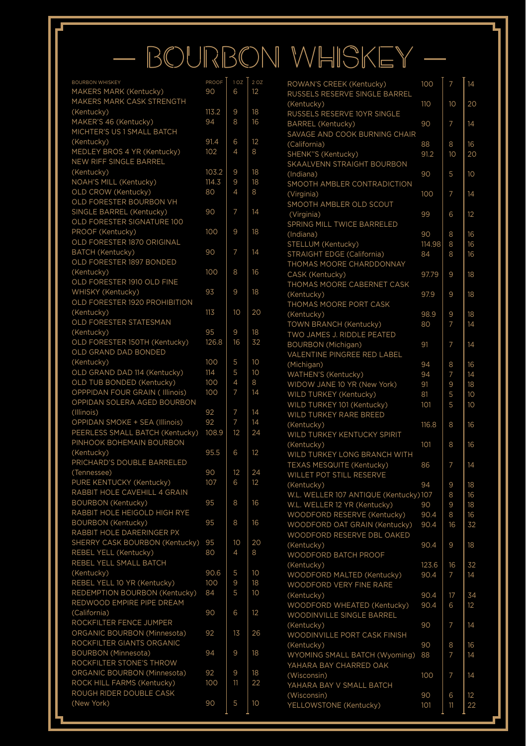# — BOURBON WHISKEY —

| <b>BOURBON WHISKEY</b>          | PROOF | 1 <sub>OZ</sub> | 2OZ | ROWAN'S CREEK (Kentucky)               | 100       | 7  | 14 |
|---------------------------------|-------|-----------------|-----|----------------------------------------|-----------|----|----|
| MAKERS MARK (Kentucky)          | 90    | 6               | 12  | RUSSELS RESERVE SINGLE BARREL          |           |    |    |
| MAKERS MARK CASK STRENGTH       |       |                 |     | (Kentucky)                             | 110       | 10 | 20 |
| (Kentucky)                      | 113.2 | 9               | 18  | RUSSELS RESERVE 10YR SINGLE            |           |    |    |
| MAKER'S 46 (Kentucky)           | 94    | 8               | 16  | <b>BARREL</b> (Kentucky)               | 90        | 7  | 14 |
| MICHTER'S US 1 SMALL BATCH      |       |                 |     | SAVAGE AND COOK BURNING CHAIR          |           |    |    |
| (Kentucky)                      | 91.4  | 6               | 12  | (California)                           | 88        | 8  | 16 |
| MEDLEY BROS 4 YR (Kentucky)     | 102   | 4               | 8   | SHENK"S (Kentucky)                     | 91.2      | 10 | 20 |
| NEW RIFF SINGLE BARREL          |       |                 |     | SKAALVENN STRAIGHT BOURBON             |           |    |    |
| (Kentucky)                      | 103.2 | 9               | 18  | (Indiana)                              | 90        | 5  | 10 |
| NOAH'S MILL (Kentucky)          | 114.3 | 9               | 18  | SMOOTH AMBLER CONTRADICTION            |           |    |    |
| OLD CROW (Kentucky)             | 80    | 4               | 8   |                                        | 100       | 7  | 14 |
| OLD FORESTER BOURBON VH         |       |                 |     | (Virginia)<br>SMOOTH AMBLER OLD SCOUT  |           |    |    |
| SINGLE BARREL (Kentucky)        | 90    | 7               | 14  |                                        |           |    |    |
| OLD FORESTER SIGNATURE 100      |       |                 |     | (Virginia)                             | 99        | 6  | 12 |
| PROOF (Kentucky)                | 100   | 9               | 18  | SPRING MILL TWICE BARRELED             |           |    |    |
| OLD FORESTER 1870 ORIGINAL      |       |                 |     | (Indiana)                              | 90        | 8  | 16 |
|                                 | 90    | 7               | 14  | STELLUM (Kentucky)                     | 114.98    | 8  | 16 |
| BATCH (Kentucky)                |       |                 |     | <b>STRAIGHT EDGE (California)</b>      | 84        | 8  | 16 |
| OLD FORESTER 1897 BONDED        |       |                 |     | THOMAS MOORE CHARDDONNAY               |           |    |    |
| (Kentucky)                      | 100   | 8               | 16  | CASK (Kentucky)                        | 97.79     | 9  | 18 |
| OLD FORESTER 1910 OLD FINE      |       |                 |     | THOMAS MOORE CABERNET CASK             |           |    |    |
| WHISKY (Kentucky)               | 93    | 9               | 18  | (Kentucky)                             | 97.9      | 9  | 18 |
| OLD FORESTER 1920 PROHIBITION   |       |                 |     | THOMAS MOORE PORT CASK                 |           |    |    |
| (Kentucky)                      | 113   | 10              | 20  | (Kentucky)                             | 98.9      | 9  | 18 |
| OLD FORESTER STATESMAN          |       |                 |     | <b>TOWN BRANCH (Kentucky)</b>          | 80        | 7  | 14 |
| (Kentucky)                      | 95    | 9               | 18  | TWO JAMES J. RIDDLE PEATED             |           |    |    |
| OLD FORESTER 150TH (Kentucky)   | 126.8 | 16              | 32  | <b>BOURBON</b> (Michigan)              | 91        | 7  | 14 |
| OLD GRAND DAD BONDED            |       |                 |     | VALENTINE PINGREE RED LABEL            |           |    |    |
| (Kentucky)                      | 100   | 5               | 10  | (Michigan)                             | 94        | 8  | 16 |
| OLD GRAND DAD 114 (Kentucky)    | 114   | 5               | 10  | WATHEN'S (Kentucky)                    | 94        | 7  | 14 |
| OLD TUB BONDED (Kentucky)       | 100   | 4               | 8   | WIDOW JANE 10 YR (New York)            | 91        | 9  | 18 |
| OPPPIDAN FOUR GRAIN ( Illinois) | 100   | $\overline{7}$  | 14  | WILD TURKEY (Kentucky)                 | 81        | 5  | 10 |
| OPPIDAN SOLERA AGED BOURBON     |       |                 |     | WILD TURKEY 101 (Kentucky)             | 101       | 5  | 10 |
| (Illinois)                      | 92    | 7               | 14  | WILD TURKEY RARE BREED                 |           |    |    |
| OPPIDAN SMOKE + SEA (Illinois)  | 92    | 7               | 14  | (Kentucky)                             | 116.8     | 8  | 16 |
| PEERLESS SMALL BATCH (Kentucky) | 108.9 | 12              | 24  |                                        |           |    |    |
| PINHOOK BOHEMAIN BOURBON        |       |                 |     | WILD TURKEY KENTUCKY SPIRIT            |           |    |    |
| (Kentucky)                      | 95.5  | 6               | 12  | (Kentucky)                             | 101       | 8  | 16 |
| PRICHARD'S DOUBLE BARRELED      |       |                 |     | WILD TURKEY LONG BRANCH WITH           |           |    |    |
| (Tennessee)                     | 90    | 12              | 24  | TEXAS MESQUITE (Kentucky)              | 86        | 7  | 14 |
| PURE KENTUCKY (Kentucky)        | 107   | 6               | 12  | WILLET POT STILL RESERVE               |           |    |    |
| RABBIT HOLE CAVEHILL 4 GRAIN    |       |                 |     | (Kentucky)                             | 94        | 9  | 18 |
|                                 |       | 8               |     | W.L. WELLER 107 ANTIQUE (Kentucky) 107 |           | 8  | 16 |
| <b>BOURBON (Kentucky)</b>       | 95    |                 | 16  | W.L. WELLER 12 YR (Kentucky)           | 90        | 9  | 18 |
| RABBIT HOLE HEIGOLD HIGH RYE    |       |                 |     | WOODFORD RESERVE (Kentucky)            | 90.4      | 8  | 16 |
| <b>BOURBON</b> (Kentucky)       | 95    | 8               | 16  | WOODFORD OAT GRAIN (Kentucky)          | 90.4      | 16 | 32 |
| RABBIT HOLE DARERINGER PX       |       |                 |     | WOODFORD RESERVE DBL OAKED             |           |    |    |
| SHERRY CASK BOURBON (Kentucky)  | 95    | 10              | 20  | (Kentucky)                             | 90.4      | 9  | 18 |
| REBEL YELL (Kentucky)           | 80    | 4               | 8   | WOODFORD BATCH PROOF                   |           |    |    |
| REBEL YELL SMALL BATCH          |       |                 |     | (Kentucky)                             | 123.6     | 16 | 32 |
| (Kentucky)                      | 90.6  | 5               | 10  | WOODFORD MALTED (Kentucky)             | 90.4      | 7  | 14 |
| REBEL YELL 10 YR (Kentucky)     | 100   | 9               | 18  | <b>WOODFORD VERY FINE RARE</b>         |           |    |    |
| REDEMPTION BOURBON (Kentucky)   | 84    | 5               | 10  | (Kentucky)                             | 90.4      | 17 | 34 |
| REDWOOD EMPIRE PIPE DREAM       |       |                 |     | WOODFORD WHEATED (Kentucky)            | 90.4      | 6  | 12 |
| (California)                    | 90    | 6               | 12  | WOODINVILLE SINGLE BARREL              |           |    |    |
| ROCKFILTER FENCE JUMPER         |       |                 |     | (Kentucky)                             | 90        | 7  | 14 |
| ORGANIC BOURBON (Minnesota)     | 92    | 13              | 26  | WOODINVILLE PORT CASK FINISH           |           |    |    |
| ROCKFILTER GIANTS ORGANIC       |       |                 |     | (Kentucky)                             | 90        | 8  | 16 |
| <b>BOURBON</b> (Minnesota)      | 94    | 9               | 18  | WYOMING SMALL BATCH (Wyoming)          | 88        | 7  | 14 |
| ROCKFILTER STONE'S THROW        |       |                 |     | YAHARA BAY CHARRED OAK                 |           |    |    |
| ORGANIC BOURBON (Minnesota)     | 92    | 9               | 18  | (Wisconsin)                            | 100       | 7  | 14 |
| ROCK HILL FARMS (Kentucky)      | 100   | 11              | 22  | YAHARA BAY V SMALL BATCH               |           |    |    |
| ROUGH RIDER DOUBLE CASK         |       |                 |     |                                        |           | 6  | 12 |
|                                 |       |                 |     |                                        |           |    |    |
| (New York)                      | 90    | 5               | 10  | (Wisconsin)<br>YELLOWSTONE (Kentucky)  | 90<br>101 | 11 | 22 |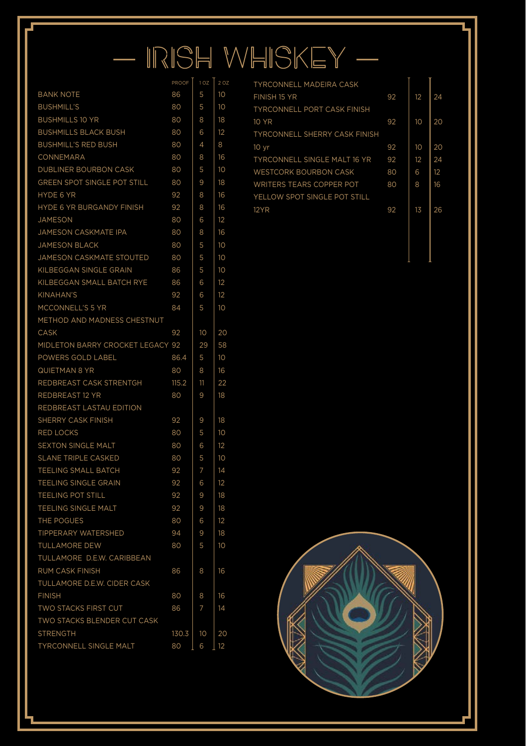# — IRISH WHISKEY —

|                                  | PROOF | 1 OZ | 2 OZ            |
|----------------------------------|-------|------|-----------------|
| <b>BANK NOTE</b>                 | 86    | 5    | 10              |
| <b>BUSHMILL'S</b>                | 80    | 5    | 10              |
| <b>BUSHMILLS 10 YR</b>           | 80    | 8    | 18              |
| <b>BUSHMILLS BLACK BUSH</b>      | 80    | 6    | 12              |
| <b>BUSHMILL'S RED BUSH</b>       | 80    | 4    | 8               |
| CONNEMARA                        | 80    | 8    | 16              |
| DUBLINER BOURBON CASK            | 80    | 5    | 10              |
| GREEN SPOT SINGLE POT STILL      | 80    | 9    | 18              |
| HYDE 6 YR                        | 92    | 8    | 16              |
| HYDE 6 YR BURGANDY FINISH        | 92    | 8    | 16              |
| <b>JAMESON</b>                   | 80    | 6    | 12              |
| JAMESON CASKMATE IPA             | 80    | 8    | 16              |
| <b>JAMESON BLACK</b>             | 80    | 5    | 10              |
| JAMESON CASKMATE STOUTED         | 80    | 5    | 10 <sup>°</sup> |
| KILBEGGAN SINGLE GRAIN           | 86    | 5    | 10              |
| KILBEGGAN SMALL BATCH RYE        | 86    | 6    | 12              |
| <b>KINAHAN'S</b>                 | 92    | 6    | 12              |
| MCCONNELL'S 5 YR                 | 84    | 5    | 10              |
| METHOD AND MADNESS CHESTNUT      |       |      |                 |
| CASK                             | 92    | 10   | 20              |
| MIDLETON BARRY CROCKET LEGACY 92 |       | 29   | 58              |
| POWERS GOLD LABEL                | 86.4  | 5    | 10              |
| QUIETMAN 8 YR                    | 80    | 8    | 16              |
| REDBREAST CASK STRENTGH          | 115.2 | 11   | 22              |
| REDBREAST 12 YR                  | 80    | 9    | 18              |
| REDBREAST LASTAU EDITION         |       |      |                 |
| SHERRY CASK FINISH               | 92    | 9    | 18              |
| <b>RED LOCKS</b>                 | 80    | 5    | 10              |
| <b>SEXTON SINGLE MALT</b>        | 80    | 6    | 12              |
| <b>SLANE TRIPLE CASKED</b>       | 80    | 5    | 10              |
| TEELING SMALL BATCH              | 92    | 7    | 14              |
| TEELING SINGLE GRAIN             | 92    | 6    | 12              |
| <b>TEELING POT STILL</b>         | 92    | 9    | 18              |
| TEELING SINGLE MALT              | 92    | 9    | 18              |
| THE POGUES                       | 80    | 6    | 12              |
| TIPPERARY WATERSHED              | 94    | 9    | 18              |
| <b>TULLAMORE DEW</b>             | 80    | 5    | 10              |
| TULLAMORE D.E.W. CARIBBEAN       |       |      |                 |
| RUM CASK FINISH                  | 86    | 8    | 16              |
| TULLAMORE D.E.W. CIDER CASK      |       |      |                 |
| <b>FINISH</b>                    | 80    | 8    | 16              |
| TWO STACKS FIRST CUT             | 86    | 7    | 14              |
| TWO STACKS BLENDER CUT CASK      |       |      |                 |
| <b>STRENGTH</b>                  | 130.3 | 10   | 20              |
| TYRCONNELL SINGLE MALT           | 80    | 6    | 12              |

| <b>TYRCONNELL MADEIRA CASK</b>       |    |    |    |
|--------------------------------------|----|----|----|
| FINISH 15 YR                         | 92 | 12 | 24 |
| <b>TYRCONNELL PORT CASK FINISH</b>   |    |    |    |
| 10 YR                                | 92 | 10 | 20 |
| <b>TYRCONNELL SHERRY CASK FINISH</b> |    |    |    |
| 10 <sub>vr</sub>                     | 92 | 10 | 20 |
| <b>TYRCONNELL SINGLE MALT 16 YR</b>  | 92 | 12 | 24 |
| <b>WESTCORK BOURBON CASK</b>         | 80 | 6  | 12 |
| <b>WRITERS TEARS COPPER POT</b>      | 80 | 8  | 16 |
| YELLOW SPOT SINGLE POT STILL         |    |    |    |
| <b>12YR</b>                          | 92 | 13 | 26 |
|                                      |    |    |    |



SOCKDOLLAGER MOOD BOARD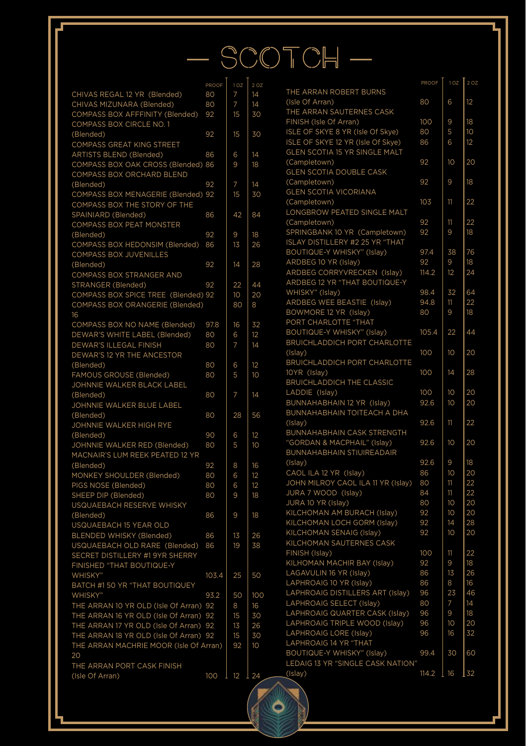# $-$  SCOTCH $-$

 $\bullet$ 

| CHIVAS REGAL 12 YR (Blended)<br>80<br>7<br>14<br>(Isle Of Arra<br>14<br>CHIVAS MIZUNARA (Blended)<br>80<br>7<br>THE ARRAN<br>COMPASS BOX AFFFINITY (Blended)<br>92<br>15<br>30<br>FINISH (Isle<br>COMPASS BOX CIRCLE NO. 1<br><b>ISLE OF SKY</b><br>(Blended)<br>92<br>15<br>30<br><b>COMPASS GREAT KING STREET</b><br><b>GLEN SCOTI</b><br><b>ARTISTS BLEND (Blended)</b><br>86<br>6<br>14<br>COMPASS BOX OAK CROSS (Blended) 86<br>9<br>18<br>COMPASS BOX ORCHARD BLEND<br>(Blended)<br>92<br>7<br>14<br>COMPASS BOX MENAGERIE (Blended) 92<br>15<br>30<br>COMPASS BOX THE STORY OF THE<br>SPAINIARD (Blended)<br>86<br>42<br>84<br>COMPASS BOX PEAT MONSTER<br>92<br>9<br>18<br>(Blended)<br>COMPASS BOX HEDONSIM (Blended)<br>86<br>13<br>26<br>COMPASS BOX JUVENILLES<br>92<br>(Blended)<br>14<br>28<br>COMPASS BOX STRANGER AND<br>STRANGER (Blended)<br>92<br>22<br>44<br>COMPASS BOX SPICE TREE (Blended) 92<br>10<br>20<br>COMPASS BOX ORANGERIE (Blended)<br>80<br>8<br>16<br>COMPASS BOX NO NAME (Blended)<br>32<br>97.8<br>16<br>DEWAR'S WHITE LABEL (Blended)<br>80<br>6<br>12<br>DEWAR'S ILLEGAL FINISH<br>80<br>7<br>14<br>(Islay)<br>DEWAR'S 12 YR THE ANCESTOR<br><b>BRUICHLAD</b><br>(Blended)<br>80<br>6<br>12<br>10YR (Islay)<br>FAMOUS GROUSE (Blended)<br>10<br>80<br>5<br><b>BRUICHLAD</b><br>JOHNNIE WALKER BLACK LABEL<br>LADDIE (Isla<br>7<br>(Blended)<br>80<br>14<br><b>BUNNAHAB</b><br>JOHNNIE WALKER BLUE LABEL<br><b>BUNNAHAB</b><br>(Blended)<br>80<br>28<br>56<br>(Islay)<br>JOHNNIE WALKER HIGH RYE<br><b>BUNNAHAB</b><br>(Blended)<br>90<br>12<br>6<br>"GORDAN &<br>5<br>JOHNNIE WALKER RED (Blended)<br>80<br>10<br><b>BUNNAHAB</b><br>MACNAIR'S LUM REEK PEATED 12 YR<br>(Islay)<br>92<br>8<br>16<br>(Blended)<br>CAOL ILA 12<br>MONKEY SHOULDER (Blended)<br>80<br>6<br>12<br><b>JOHN MILRO</b><br>PIGS NOSE (Blended)<br>80<br>6<br>12<br>JURA 7 WO<br>SHEEP DIP (Blended)<br>80<br>9<br>18<br>JURA 10 YR<br>USQUAEBACH RESERVE WHISKY<br>(Blended)<br>86<br>9<br>18<br>USQUAEBACH 15 YEAR OLD<br>BLENDED WHISKY (Blended)<br>86<br>13<br>26<br>USQUAEBACH OLD RARE (Blended)<br>86<br>19<br>38<br>SECRET DISTILLERY #1 9YR SHERRY<br>FINISHED "THAT BOUTIQUE-Y<br>WHISKY"<br>103.4<br>25<br>50<br>BATCH #1 50 YR "THAT BOUTIQUEY<br>50<br>100<br>WHISKY"<br>93.2<br>THE ARRAN 10 YR OLD (Isle Of Arran) 92<br>8<br>16<br>THE ARRAN 16 YR OLD (Isle Of Arran) 92<br>15<br>30<br>THE ARRAN 17 YR OLD (Isle Of Arran) 92<br>13<br>26<br>THE ARRAN 18 YR OLD (Isle Of Arran) 92<br>15<br>30<br>THE ARRAN MACHRIE MOOR (Isle Of Arran)<br>92<br>10<br>20<br>LEDAIG 13 Y<br>THE ARRAN PORT CASK FINISH<br>(Islay)<br>(Isle Of Arran)<br>T<br>12<br><u>l</u> 24<br>100 | PROOF | 1 <sub>OZ</sub> | 2 OZ |                     |
|---------------------------------------------------------------------------------------------------------------------------------------------------------------------------------------------------------------------------------------------------------------------------------------------------------------------------------------------------------------------------------------------------------------------------------------------------------------------------------------------------------------------------------------------------------------------------------------------------------------------------------------------------------------------------------------------------------------------------------------------------------------------------------------------------------------------------------------------------------------------------------------------------------------------------------------------------------------------------------------------------------------------------------------------------------------------------------------------------------------------------------------------------------------------------------------------------------------------------------------------------------------------------------------------------------------------------------------------------------------------------------------------------------------------------------------------------------------------------------------------------------------------------------------------------------------------------------------------------------------------------------------------------------------------------------------------------------------------------------------------------------------------------------------------------------------------------------------------------------------------------------------------------------------------------------------------------------------------------------------------------------------------------------------------------------------------------------------------------------------------------------------------------------------------------------------------------------------------------------------------------------------------------------------------------------------------------------------------------------------------------------------------------------------------------------------------------------------------------------------------------------------------------------------------------------------------------------------------------------------------------------------------------------------------------------------------------------|-------|-----------------|------|---------------------|
|                                                                                                                                                                                                                                                                                                                                                                                                                                                                                                                                                                                                                                                                                                                                                                                                                                                                                                                                                                                                                                                                                                                                                                                                                                                                                                                                                                                                                                                                                                                                                                                                                                                                                                                                                                                                                                                                                                                                                                                                                                                                                                                                                                                                                                                                                                                                                                                                                                                                                                                                                                                                                                                                                                         |       |                 |      | <b>THE ARRAN</b>    |
|                                                                                                                                                                                                                                                                                                                                                                                                                                                                                                                                                                                                                                                                                                                                                                                                                                                                                                                                                                                                                                                                                                                                                                                                                                                                                                                                                                                                                                                                                                                                                                                                                                                                                                                                                                                                                                                                                                                                                                                                                                                                                                                                                                                                                                                                                                                                                                                                                                                                                                                                                                                                                                                                                                         |       |                 |      |                     |
|                                                                                                                                                                                                                                                                                                                                                                                                                                                                                                                                                                                                                                                                                                                                                                                                                                                                                                                                                                                                                                                                                                                                                                                                                                                                                                                                                                                                                                                                                                                                                                                                                                                                                                                                                                                                                                                                                                                                                                                                                                                                                                                                                                                                                                                                                                                                                                                                                                                                                                                                                                                                                                                                                                         |       |                 |      |                     |
|                                                                                                                                                                                                                                                                                                                                                                                                                                                                                                                                                                                                                                                                                                                                                                                                                                                                                                                                                                                                                                                                                                                                                                                                                                                                                                                                                                                                                                                                                                                                                                                                                                                                                                                                                                                                                                                                                                                                                                                                                                                                                                                                                                                                                                                                                                                                                                                                                                                                                                                                                                                                                                                                                                         |       |                 |      |                     |
|                                                                                                                                                                                                                                                                                                                                                                                                                                                                                                                                                                                                                                                                                                                                                                                                                                                                                                                                                                                                                                                                                                                                                                                                                                                                                                                                                                                                                                                                                                                                                                                                                                                                                                                                                                                                                                                                                                                                                                                                                                                                                                                                                                                                                                                                                                                                                                                                                                                                                                                                                                                                                                                                                                         |       |                 |      |                     |
|                                                                                                                                                                                                                                                                                                                                                                                                                                                                                                                                                                                                                                                                                                                                                                                                                                                                                                                                                                                                                                                                                                                                                                                                                                                                                                                                                                                                                                                                                                                                                                                                                                                                                                                                                                                                                                                                                                                                                                                                                                                                                                                                                                                                                                                                                                                                                                                                                                                                                                                                                                                                                                                                                                         |       |                 |      | <b>ISLE OF SKY</b>  |
|                                                                                                                                                                                                                                                                                                                                                                                                                                                                                                                                                                                                                                                                                                                                                                                                                                                                                                                                                                                                                                                                                                                                                                                                                                                                                                                                                                                                                                                                                                                                                                                                                                                                                                                                                                                                                                                                                                                                                                                                                                                                                                                                                                                                                                                                                                                                                                                                                                                                                                                                                                                                                                                                                                         |       |                 |      |                     |
|                                                                                                                                                                                                                                                                                                                                                                                                                                                                                                                                                                                                                                                                                                                                                                                                                                                                                                                                                                                                                                                                                                                                                                                                                                                                                                                                                                                                                                                                                                                                                                                                                                                                                                                                                                                                                                                                                                                                                                                                                                                                                                                                                                                                                                                                                                                                                                                                                                                                                                                                                                                                                                                                                                         |       |                 |      | (Campletow)         |
|                                                                                                                                                                                                                                                                                                                                                                                                                                                                                                                                                                                                                                                                                                                                                                                                                                                                                                                                                                                                                                                                                                                                                                                                                                                                                                                                                                                                                                                                                                                                                                                                                                                                                                                                                                                                                                                                                                                                                                                                                                                                                                                                                                                                                                                                                                                                                                                                                                                                                                                                                                                                                                                                                                         |       |                 |      | <b>GLEN SCOTI</b>   |
|                                                                                                                                                                                                                                                                                                                                                                                                                                                                                                                                                                                                                                                                                                                                                                                                                                                                                                                                                                                                                                                                                                                                                                                                                                                                                                                                                                                                                                                                                                                                                                                                                                                                                                                                                                                                                                                                                                                                                                                                                                                                                                                                                                                                                                                                                                                                                                                                                                                                                                                                                                                                                                                                                                         |       |                 |      | (Campletow          |
|                                                                                                                                                                                                                                                                                                                                                                                                                                                                                                                                                                                                                                                                                                                                                                                                                                                                                                                                                                                                                                                                                                                                                                                                                                                                                                                                                                                                                                                                                                                                                                                                                                                                                                                                                                                                                                                                                                                                                                                                                                                                                                                                                                                                                                                                                                                                                                                                                                                                                                                                                                                                                                                                                                         |       |                 |      | <b>GLEN SCOTI</b>   |
|                                                                                                                                                                                                                                                                                                                                                                                                                                                                                                                                                                                                                                                                                                                                                                                                                                                                                                                                                                                                                                                                                                                                                                                                                                                                                                                                                                                                                                                                                                                                                                                                                                                                                                                                                                                                                                                                                                                                                                                                                                                                                                                                                                                                                                                                                                                                                                                                                                                                                                                                                                                                                                                                                                         |       |                 |      | (Campletow)         |
|                                                                                                                                                                                                                                                                                                                                                                                                                                                                                                                                                                                                                                                                                                                                                                                                                                                                                                                                                                                                                                                                                                                                                                                                                                                                                                                                                                                                                                                                                                                                                                                                                                                                                                                                                                                                                                                                                                                                                                                                                                                                                                                                                                                                                                                                                                                                                                                                                                                                                                                                                                                                                                                                                                         |       |                 |      | LONGBROW            |
|                                                                                                                                                                                                                                                                                                                                                                                                                                                                                                                                                                                                                                                                                                                                                                                                                                                                                                                                                                                                                                                                                                                                                                                                                                                                                                                                                                                                                                                                                                                                                                                                                                                                                                                                                                                                                                                                                                                                                                                                                                                                                                                                                                                                                                                                                                                                                                                                                                                                                                                                                                                                                                                                                                         |       |                 |      | (Campletow)         |
|                                                                                                                                                                                                                                                                                                                                                                                                                                                                                                                                                                                                                                                                                                                                                                                                                                                                                                                                                                                                                                                                                                                                                                                                                                                                                                                                                                                                                                                                                                                                                                                                                                                                                                                                                                                                                                                                                                                                                                                                                                                                                                                                                                                                                                                                                                                                                                                                                                                                                                                                                                                                                                                                                                         |       |                 |      | SPRINGBAN           |
|                                                                                                                                                                                                                                                                                                                                                                                                                                                                                                                                                                                                                                                                                                                                                                                                                                                                                                                                                                                                                                                                                                                                                                                                                                                                                                                                                                                                                                                                                                                                                                                                                                                                                                                                                                                                                                                                                                                                                                                                                                                                                                                                                                                                                                                                                                                                                                                                                                                                                                                                                                                                                                                                                                         |       |                 |      | <b>ISLAY DISTIL</b> |
|                                                                                                                                                                                                                                                                                                                                                                                                                                                                                                                                                                                                                                                                                                                                                                                                                                                                                                                                                                                                                                                                                                                                                                                                                                                                                                                                                                                                                                                                                                                                                                                                                                                                                                                                                                                                                                                                                                                                                                                                                                                                                                                                                                                                                                                                                                                                                                                                                                                                                                                                                                                                                                                                                                         |       |                 |      | <b>BOUTIQUE-Y</b>   |
|                                                                                                                                                                                                                                                                                                                                                                                                                                                                                                                                                                                                                                                                                                                                                                                                                                                                                                                                                                                                                                                                                                                                                                                                                                                                                                                                                                                                                                                                                                                                                                                                                                                                                                                                                                                                                                                                                                                                                                                                                                                                                                                                                                                                                                                                                                                                                                                                                                                                                                                                                                                                                                                                                                         |       |                 |      | ARDBEG 10           |
|                                                                                                                                                                                                                                                                                                                                                                                                                                                                                                                                                                                                                                                                                                                                                                                                                                                                                                                                                                                                                                                                                                                                                                                                                                                                                                                                                                                                                                                                                                                                                                                                                                                                                                                                                                                                                                                                                                                                                                                                                                                                                                                                                                                                                                                                                                                                                                                                                                                                                                                                                                                                                                                                                                         |       |                 |      | ARDBEG CC           |
|                                                                                                                                                                                                                                                                                                                                                                                                                                                                                                                                                                                                                                                                                                                                                                                                                                                                                                                                                                                                                                                                                                                                                                                                                                                                                                                                                                                                                                                                                                                                                                                                                                                                                                                                                                                                                                                                                                                                                                                                                                                                                                                                                                                                                                                                                                                                                                                                                                                                                                                                                                                                                                                                                                         |       |                 |      | ARDBEG 12           |
|                                                                                                                                                                                                                                                                                                                                                                                                                                                                                                                                                                                                                                                                                                                                                                                                                                                                                                                                                                                                                                                                                                                                                                                                                                                                                                                                                                                                                                                                                                                                                                                                                                                                                                                                                                                                                                                                                                                                                                                                                                                                                                                                                                                                                                                                                                                                                                                                                                                                                                                                                                                                                                                                                                         |       |                 |      | WHISKY" (Is         |
|                                                                                                                                                                                                                                                                                                                                                                                                                                                                                                                                                                                                                                                                                                                                                                                                                                                                                                                                                                                                                                                                                                                                                                                                                                                                                                                                                                                                                                                                                                                                                                                                                                                                                                                                                                                                                                                                                                                                                                                                                                                                                                                                                                                                                                                                                                                                                                                                                                                                                                                                                                                                                                                                                                         |       |                 |      | ARDBEG WI           |
|                                                                                                                                                                                                                                                                                                                                                                                                                                                                                                                                                                                                                                                                                                                                                                                                                                                                                                                                                                                                                                                                                                                                                                                                                                                                                                                                                                                                                                                                                                                                                                                                                                                                                                                                                                                                                                                                                                                                                                                                                                                                                                                                                                                                                                                                                                                                                                                                                                                                                                                                                                                                                                                                                                         |       |                 |      | <b>BOWMORE</b>      |
|                                                                                                                                                                                                                                                                                                                                                                                                                                                                                                                                                                                                                                                                                                                                                                                                                                                                                                                                                                                                                                                                                                                                                                                                                                                                                                                                                                                                                                                                                                                                                                                                                                                                                                                                                                                                                                                                                                                                                                                                                                                                                                                                                                                                                                                                                                                                                                                                                                                                                                                                                                                                                                                                                                         |       |                 |      | PORT CHAR           |
|                                                                                                                                                                                                                                                                                                                                                                                                                                                                                                                                                                                                                                                                                                                                                                                                                                                                                                                                                                                                                                                                                                                                                                                                                                                                                                                                                                                                                                                                                                                                                                                                                                                                                                                                                                                                                                                                                                                                                                                                                                                                                                                                                                                                                                                                                                                                                                                                                                                                                                                                                                                                                                                                                                         |       |                 |      | <b>BOUTIQUE-Y</b>   |
|                                                                                                                                                                                                                                                                                                                                                                                                                                                                                                                                                                                                                                                                                                                                                                                                                                                                                                                                                                                                                                                                                                                                                                                                                                                                                                                                                                                                                                                                                                                                                                                                                                                                                                                                                                                                                                                                                                                                                                                                                                                                                                                                                                                                                                                                                                                                                                                                                                                                                                                                                                                                                                                                                                         |       |                 |      | <b>BRUICHLAD</b>    |
|                                                                                                                                                                                                                                                                                                                                                                                                                                                                                                                                                                                                                                                                                                                                                                                                                                                                                                                                                                                                                                                                                                                                                                                                                                                                                                                                                                                                                                                                                                                                                                                                                                                                                                                                                                                                                                                                                                                                                                                                                                                                                                                                                                                                                                                                                                                                                                                                                                                                                                                                                                                                                                                                                                         |       |                 |      |                     |
|                                                                                                                                                                                                                                                                                                                                                                                                                                                                                                                                                                                                                                                                                                                                                                                                                                                                                                                                                                                                                                                                                                                                                                                                                                                                                                                                                                                                                                                                                                                                                                                                                                                                                                                                                                                                                                                                                                                                                                                                                                                                                                                                                                                                                                                                                                                                                                                                                                                                                                                                                                                                                                                                                                         |       |                 |      |                     |
|                                                                                                                                                                                                                                                                                                                                                                                                                                                                                                                                                                                                                                                                                                                                                                                                                                                                                                                                                                                                                                                                                                                                                                                                                                                                                                                                                                                                                                                                                                                                                                                                                                                                                                                                                                                                                                                                                                                                                                                                                                                                                                                                                                                                                                                                                                                                                                                                                                                                                                                                                                                                                                                                                                         |       |                 |      |                     |
|                                                                                                                                                                                                                                                                                                                                                                                                                                                                                                                                                                                                                                                                                                                                                                                                                                                                                                                                                                                                                                                                                                                                                                                                                                                                                                                                                                                                                                                                                                                                                                                                                                                                                                                                                                                                                                                                                                                                                                                                                                                                                                                                                                                                                                                                                                                                                                                                                                                                                                                                                                                                                                                                                                         |       |                 |      |                     |
|                                                                                                                                                                                                                                                                                                                                                                                                                                                                                                                                                                                                                                                                                                                                                                                                                                                                                                                                                                                                                                                                                                                                                                                                                                                                                                                                                                                                                                                                                                                                                                                                                                                                                                                                                                                                                                                                                                                                                                                                                                                                                                                                                                                                                                                                                                                                                                                                                                                                                                                                                                                                                                                                                                         |       |                 |      |                     |
|                                                                                                                                                                                                                                                                                                                                                                                                                                                                                                                                                                                                                                                                                                                                                                                                                                                                                                                                                                                                                                                                                                                                                                                                                                                                                                                                                                                                                                                                                                                                                                                                                                                                                                                                                                                                                                                                                                                                                                                                                                                                                                                                                                                                                                                                                                                                                                                                                                                                                                                                                                                                                                                                                                         |       |                 |      |                     |
|                                                                                                                                                                                                                                                                                                                                                                                                                                                                                                                                                                                                                                                                                                                                                                                                                                                                                                                                                                                                                                                                                                                                                                                                                                                                                                                                                                                                                                                                                                                                                                                                                                                                                                                                                                                                                                                                                                                                                                                                                                                                                                                                                                                                                                                                                                                                                                                                                                                                                                                                                                                                                                                                                                         |       |                 |      |                     |
|                                                                                                                                                                                                                                                                                                                                                                                                                                                                                                                                                                                                                                                                                                                                                                                                                                                                                                                                                                                                                                                                                                                                                                                                                                                                                                                                                                                                                                                                                                                                                                                                                                                                                                                                                                                                                                                                                                                                                                                                                                                                                                                                                                                                                                                                                                                                                                                                                                                                                                                                                                                                                                                                                                         |       |                 |      |                     |
|                                                                                                                                                                                                                                                                                                                                                                                                                                                                                                                                                                                                                                                                                                                                                                                                                                                                                                                                                                                                                                                                                                                                                                                                                                                                                                                                                                                                                                                                                                                                                                                                                                                                                                                                                                                                                                                                                                                                                                                                                                                                                                                                                                                                                                                                                                                                                                                                                                                                                                                                                                                                                                                                                                         |       |                 |      |                     |
|                                                                                                                                                                                                                                                                                                                                                                                                                                                                                                                                                                                                                                                                                                                                                                                                                                                                                                                                                                                                                                                                                                                                                                                                                                                                                                                                                                                                                                                                                                                                                                                                                                                                                                                                                                                                                                                                                                                                                                                                                                                                                                                                                                                                                                                                                                                                                                                                                                                                                                                                                                                                                                                                                                         |       |                 |      |                     |
|                                                                                                                                                                                                                                                                                                                                                                                                                                                                                                                                                                                                                                                                                                                                                                                                                                                                                                                                                                                                                                                                                                                                                                                                                                                                                                                                                                                                                                                                                                                                                                                                                                                                                                                                                                                                                                                                                                                                                                                                                                                                                                                                                                                                                                                                                                                                                                                                                                                                                                                                                                                                                                                                                                         |       |                 |      |                     |
|                                                                                                                                                                                                                                                                                                                                                                                                                                                                                                                                                                                                                                                                                                                                                                                                                                                                                                                                                                                                                                                                                                                                                                                                                                                                                                                                                                                                                                                                                                                                                                                                                                                                                                                                                                                                                                                                                                                                                                                                                                                                                                                                                                                                                                                                                                                                                                                                                                                                                                                                                                                                                                                                                                         |       |                 |      |                     |
|                                                                                                                                                                                                                                                                                                                                                                                                                                                                                                                                                                                                                                                                                                                                                                                                                                                                                                                                                                                                                                                                                                                                                                                                                                                                                                                                                                                                                                                                                                                                                                                                                                                                                                                                                                                                                                                                                                                                                                                                                                                                                                                                                                                                                                                                                                                                                                                                                                                                                                                                                                                                                                                                                                         |       |                 |      |                     |
|                                                                                                                                                                                                                                                                                                                                                                                                                                                                                                                                                                                                                                                                                                                                                                                                                                                                                                                                                                                                                                                                                                                                                                                                                                                                                                                                                                                                                                                                                                                                                                                                                                                                                                                                                                                                                                                                                                                                                                                                                                                                                                                                                                                                                                                                                                                                                                                                                                                                                                                                                                                                                                                                                                         |       |                 |      |                     |
|                                                                                                                                                                                                                                                                                                                                                                                                                                                                                                                                                                                                                                                                                                                                                                                                                                                                                                                                                                                                                                                                                                                                                                                                                                                                                                                                                                                                                                                                                                                                                                                                                                                                                                                                                                                                                                                                                                                                                                                                                                                                                                                                                                                                                                                                                                                                                                                                                                                                                                                                                                                                                                                                                                         |       |                 |      |                     |
|                                                                                                                                                                                                                                                                                                                                                                                                                                                                                                                                                                                                                                                                                                                                                                                                                                                                                                                                                                                                                                                                                                                                                                                                                                                                                                                                                                                                                                                                                                                                                                                                                                                                                                                                                                                                                                                                                                                                                                                                                                                                                                                                                                                                                                                                                                                                                                                                                                                                                                                                                                                                                                                                                                         |       |                 |      |                     |
|                                                                                                                                                                                                                                                                                                                                                                                                                                                                                                                                                                                                                                                                                                                                                                                                                                                                                                                                                                                                                                                                                                                                                                                                                                                                                                                                                                                                                                                                                                                                                                                                                                                                                                                                                                                                                                                                                                                                                                                                                                                                                                                                                                                                                                                                                                                                                                                                                                                                                                                                                                                                                                                                                                         |       |                 |      |                     |
|                                                                                                                                                                                                                                                                                                                                                                                                                                                                                                                                                                                                                                                                                                                                                                                                                                                                                                                                                                                                                                                                                                                                                                                                                                                                                                                                                                                                                                                                                                                                                                                                                                                                                                                                                                                                                                                                                                                                                                                                                                                                                                                                                                                                                                                                                                                                                                                                                                                                                                                                                                                                                                                                                                         |       |                 |      | <b>KILCHOMAN</b>    |
|                                                                                                                                                                                                                                                                                                                                                                                                                                                                                                                                                                                                                                                                                                                                                                                                                                                                                                                                                                                                                                                                                                                                                                                                                                                                                                                                                                                                                                                                                                                                                                                                                                                                                                                                                                                                                                                                                                                                                                                                                                                                                                                                                                                                                                                                                                                                                                                                                                                                                                                                                                                                                                                                                                         |       |                 |      | <b>KILCHOMAN</b>    |
|                                                                                                                                                                                                                                                                                                                                                                                                                                                                                                                                                                                                                                                                                                                                                                                                                                                                                                                                                                                                                                                                                                                                                                                                                                                                                                                                                                                                                                                                                                                                                                                                                                                                                                                                                                                                                                                                                                                                                                                                                                                                                                                                                                                                                                                                                                                                                                                                                                                                                                                                                                                                                                                                                                         |       |                 |      | <b>KILCHOMAN</b>    |
|                                                                                                                                                                                                                                                                                                                                                                                                                                                                                                                                                                                                                                                                                                                                                                                                                                                                                                                                                                                                                                                                                                                                                                                                                                                                                                                                                                                                                                                                                                                                                                                                                                                                                                                                                                                                                                                                                                                                                                                                                                                                                                                                                                                                                                                                                                                                                                                                                                                                                                                                                                                                                                                                                                         |       |                 |      | <b>KILCHOMAN</b>    |
|                                                                                                                                                                                                                                                                                                                                                                                                                                                                                                                                                                                                                                                                                                                                                                                                                                                                                                                                                                                                                                                                                                                                                                                                                                                                                                                                                                                                                                                                                                                                                                                                                                                                                                                                                                                                                                                                                                                                                                                                                                                                                                                                                                                                                                                                                                                                                                                                                                                                                                                                                                                                                                                                                                         |       |                 |      | FINISH (Islay       |
|                                                                                                                                                                                                                                                                                                                                                                                                                                                                                                                                                                                                                                                                                                                                                                                                                                                                                                                                                                                                                                                                                                                                                                                                                                                                                                                                                                                                                                                                                                                                                                                                                                                                                                                                                                                                                                                                                                                                                                                                                                                                                                                                                                                                                                                                                                                                                                                                                                                                                                                                                                                                                                                                                                         |       |                 |      | <b>KILHOMAN I</b>   |
|                                                                                                                                                                                                                                                                                                                                                                                                                                                                                                                                                                                                                                                                                                                                                                                                                                                                                                                                                                                                                                                                                                                                                                                                                                                                                                                                                                                                                                                                                                                                                                                                                                                                                                                                                                                                                                                                                                                                                                                                                                                                                                                                                                                                                                                                                                                                                                                                                                                                                                                                                                                                                                                                                                         |       |                 |      | LAGAVULIN           |
|                                                                                                                                                                                                                                                                                                                                                                                                                                                                                                                                                                                                                                                                                                                                                                                                                                                                                                                                                                                                                                                                                                                                                                                                                                                                                                                                                                                                                                                                                                                                                                                                                                                                                                                                                                                                                                                                                                                                                                                                                                                                                                                                                                                                                                                                                                                                                                                                                                                                                                                                                                                                                                                                                                         |       |                 |      | LAPHROAIG           |
|                                                                                                                                                                                                                                                                                                                                                                                                                                                                                                                                                                                                                                                                                                                                                                                                                                                                                                                                                                                                                                                                                                                                                                                                                                                                                                                                                                                                                                                                                                                                                                                                                                                                                                                                                                                                                                                                                                                                                                                                                                                                                                                                                                                                                                                                                                                                                                                                                                                                                                                                                                                                                                                                                                         |       |                 |      | LAPHROAIG           |
|                                                                                                                                                                                                                                                                                                                                                                                                                                                                                                                                                                                                                                                                                                                                                                                                                                                                                                                                                                                                                                                                                                                                                                                                                                                                                                                                                                                                                                                                                                                                                                                                                                                                                                                                                                                                                                                                                                                                                                                                                                                                                                                                                                                                                                                                                                                                                                                                                                                                                                                                                                                                                                                                                                         |       |                 |      | LAPHROAIG           |
|                                                                                                                                                                                                                                                                                                                                                                                                                                                                                                                                                                                                                                                                                                                                                                                                                                                                                                                                                                                                                                                                                                                                                                                                                                                                                                                                                                                                                                                                                                                                                                                                                                                                                                                                                                                                                                                                                                                                                                                                                                                                                                                                                                                                                                                                                                                                                                                                                                                                                                                                                                                                                                                                                                         |       |                 |      | LAPHROAIG           |
|                                                                                                                                                                                                                                                                                                                                                                                                                                                                                                                                                                                                                                                                                                                                                                                                                                                                                                                                                                                                                                                                                                                                                                                                                                                                                                                                                                                                                                                                                                                                                                                                                                                                                                                                                                                                                                                                                                                                                                                                                                                                                                                                                                                                                                                                                                                                                                                                                                                                                                                                                                                                                                                                                                         |       |                 |      | LAPHROAIG           |
|                                                                                                                                                                                                                                                                                                                                                                                                                                                                                                                                                                                                                                                                                                                                                                                                                                                                                                                                                                                                                                                                                                                                                                                                                                                                                                                                                                                                                                                                                                                                                                                                                                                                                                                                                                                                                                                                                                                                                                                                                                                                                                                                                                                                                                                                                                                                                                                                                                                                                                                                                                                                                                                                                                         |       |                 |      | LAPHROAIG           |
|                                                                                                                                                                                                                                                                                                                                                                                                                                                                                                                                                                                                                                                                                                                                                                                                                                                                                                                                                                                                                                                                                                                                                                                                                                                                                                                                                                                                                                                                                                                                                                                                                                                                                                                                                                                                                                                                                                                                                                                                                                                                                                                                                                                                                                                                                                                                                                                                                                                                                                                                                                                                                                                                                                         |       |                 |      | <b>LAPHROAIG</b>    |
|                                                                                                                                                                                                                                                                                                                                                                                                                                                                                                                                                                                                                                                                                                                                                                                                                                                                                                                                                                                                                                                                                                                                                                                                                                                                                                                                                                                                                                                                                                                                                                                                                                                                                                                                                                                                                                                                                                                                                                                                                                                                                                                                                                                                                                                                                                                                                                                                                                                                                                                                                                                                                                                                                                         |       |                 |      | <b>BOUTIQUE-Y</b>   |
|                                                                                                                                                                                                                                                                                                                                                                                                                                                                                                                                                                                                                                                                                                                                                                                                                                                                                                                                                                                                                                                                                                                                                                                                                                                                                                                                                                                                                                                                                                                                                                                                                                                                                                                                                                                                                                                                                                                                                                                                                                                                                                                                                                                                                                                                                                                                                                                                                                                                                                                                                                                                                                                                                                         |       |                 |      |                     |
|                                                                                                                                                                                                                                                                                                                                                                                                                                                                                                                                                                                                                                                                                                                                                                                                                                                                                                                                                                                                                                                                                                                                                                                                                                                                                                                                                                                                                                                                                                                                                                                                                                                                                                                                                                                                                                                                                                                                                                                                                                                                                                                                                                                                                                                                                                                                                                                                                                                                                                                                                                                                                                                                                                         |       |                 |      |                     |
|                                                                                                                                                                                                                                                                                                                                                                                                                                                                                                                                                                                                                                                                                                                                                                                                                                                                                                                                                                                                                                                                                                                                                                                                                                                                                                                                                                                                                                                                                                                                                                                                                                                                                                                                                                                                                                                                                                                                                                                                                                                                                                                                                                                                                                                                                                                                                                                                                                                                                                                                                                                                                                                                                                         |       |                 |      |                     |

|                                                            | PROOF    | 1 <sub>OZ</sub> | 2 OZ     |
|------------------------------------------------------------|----------|-----------------|----------|
| THE ARRAN ROBERT BURNS                                     |          |                 |          |
| (Isle Of Arran)                                            | 80       | 6               | 12       |
| THE ARRAN SAUTERNES CASK                                   |          |                 |          |
| FINISH (Isle Of Arran)                                     | 100      | 9               | 18       |
| ISLE OF SKYE 8 YR (Isle Of Skye)                           | 80       | 5               | 10       |
| ISLE OF SKYE 12 YR (Isle Of Skye)                          | 86       | 6               | 12       |
| <b>GLEN SCOTIA 15 YR SINGLE MALT</b>                       |          |                 |          |
| (Campletown)                                               | 92       | 10              | 20       |
| <b>GLEN SCOTIA DOUBLE CASK</b>                             |          |                 |          |
| (Campletown)                                               | 92       | 9               | 18       |
| <b>GLEN SCOTIA VICORIANA</b>                               |          |                 |          |
| (Campletown)                                               | 103      | 11              | 22       |
| LONGBROW PEATED SINGLE MALT                                |          |                 |          |
| (Campletown)                                               | 92       | 11              | 22       |
| SPRINGBANK 10 YR (Campletown)                              | 92       | 9               | 18       |
| ISLAY DISTILLERY #2 25 YR "THAT                            |          |                 |          |
| BOUTIQUE-Y WHISKY" (Islay)                                 | 97.4     | 38              | 76       |
| ARDBEG 10 YR (Islay)                                       | 92       | 9               | 18       |
| ARDBEG CORRYVRECKEN (Islay)                                | 114.2    | 12              | 24       |
| ARDBEG 12 YR "THAT BOUTIQUE-Y                              |          |                 |          |
| WHISKY" (Islay)                                            | 98.4     | 32              | 64       |
| ARDBEG WEE BEASTIE (Islay)                                 | 94.8     | 11              | 22       |
| BOWMORE 12 YR (Islay)                                      | 80       | 9               | 18       |
| PORT CHARLOTTE "THAT                                       |          |                 |          |
| BOUTIQUE-Y WHISKY" (Islay)                                 | 105.4    | 22              | 44       |
| BRUICHLADDICH PORT CHARLOTTE                               |          |                 |          |
| (Islay)                                                    | 100      | 10              | 20       |
| <b>BRUICHLADDICH PORT CHARLOTTE</b>                        |          |                 |          |
| 10YR (Islay)                                               | 100      | 14              | 28       |
| <b>BRUICHLADDICH THE CLASSIC</b>                           |          |                 |          |
| LADDIE (Islay)                                             | 100      | 10              | 20       |
| BUNNAHABHAIN 12 YR (Islay)                                 | 92.6     | 10              | 20       |
| BUNNAHABHAIN TOITEACH A DHA                                |          |                 |          |
| (Islay)                                                    | 92.6     | 11              | 22       |
| <b>BUNNAHABHAIN CASK STRENGTH</b>                          |          |                 |          |
| "GORDAN & MACPHAIL" (Islay)                                | 92.6     | 10              | 20       |
| <b>BUNNAHABHAIN STIUIREADAIR</b>                           |          |                 |          |
| (Islay)                                                    | 92.6     | 9               | 18       |
| CAOL ILA 12 YR (Islay)                                     | 86       | 10              | 20       |
| JOHN MILROY CAOL ILA 11 YR (Islay)                         | 80       | 11              | 22       |
| JURA 7 WOOD (Islay)                                        | 84       | 11              | 22       |
| JURA 10 YR (Islay)                                         | 80       | 10              | 20       |
|                                                            |          |                 |          |
| KILCHOMAN AM BURACH (Islay)<br>KILCHOMAN LOCH GORM (Islay) | 92<br>92 | 10<br>14        | 20<br>28 |
|                                                            |          |                 |          |
| KILCHOMAN SENAIG (Islay)                                   | 92       | 10              | 20       |
| KILCHOMAN SAUTERNES CASK                                   |          |                 |          |
| FINISH (Islay)                                             | 100      | 11              | 22       |
| KILHOMAN MACHIR BAY (Islay)                                | 92       | 9               | 18       |
| LAGAVULIN 16 YR (Islay)                                    | 86       | 13              | 26       |
| LAPHROAIG 10 YR (Islay)                                    | 86       | 8               | 16       |
| LAPHROAIG DISTILLERS ART (Islay)                           | 96       | 23              | 46       |
| LAPHROAIG SELECT (Islay)                                   | 80       | 7               | 14       |
| LAPHROAIG QUARTER CASK (Islay)                             | 96       | 9               | 18       |
| LAPHROAIG TRIPLE WOOD (Islay)                              | 96       | 10              | 20       |
| LAPHROAIG LORE (Islay)                                     | 96       | 16              | 32       |
| LAPHROAIG 14 YR "THAT                                      |          |                 |          |
| BOUTIQUE-Y WHISKY" (Islay)                                 | 99.4     | 30              | 60       |
| LEDAIG 13 YR "SINGLE CASK NATION"                          |          |                 |          |
| (Islay)                                                    | 114.2    | 16              | 32       |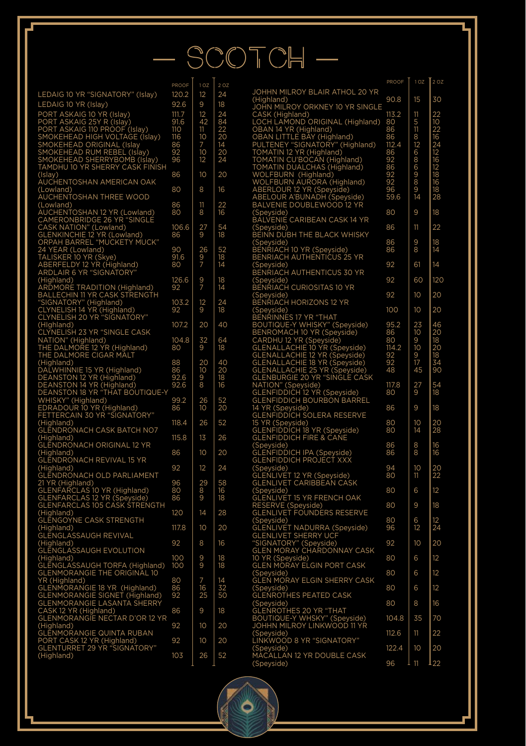## — SCOTCH —

|                                                                                                                                                                                                                                                                             | нног               | $\Omega$        |                 |
|-----------------------------------------------------------------------------------------------------------------------------------------------------------------------------------------------------------------------------------------------------------------------------|--------------------|-----------------|-----------------|
| LEDAIG 10 YR "SIGNATORY" (Islay)                                                                                                                                                                                                                                            | 120.2              | 12              | 24              |
| LEDAIG 10 YR (Islay)                                                                                                                                                                                                                                                        | 92.6               | 9               | 18              |
|                                                                                                                                                                                                                                                                             |                    |                 |                 |
| LONG TO THUGHON (SIGN)<br>PORT ASKAIG 10 YR (Islay)<br>PORT ASKAIG 10 YR (Islay)<br>SMOKEHEAD HIGH VOLTAGE (Islay)<br>SMOKEHEAD RIM NOLTAGE (Islay)<br>SMOKEHEAD SHERRYBOMB (Islay)<br>SMOKEHEAD SHERRYBOMB (Islay)<br>TAMDHU 10 YR SHERRY CASK FIN                         | 111.7              | 12              | 24              |
|                                                                                                                                                                                                                                                                             | 91.6               | 42              | 84              |
|                                                                                                                                                                                                                                                                             | 110<br>116         | 11<br>10        | 22<br>20        |
|                                                                                                                                                                                                                                                                             | 86                 | 7               | 14              |
|                                                                                                                                                                                                                                                                             | 92                 | 10 <sup>1</sup> | 20              |
|                                                                                                                                                                                                                                                                             | 96                 | 12              | 24              |
|                                                                                                                                                                                                                                                                             |                    |                 |                 |
|                                                                                                                                                                                                                                                                             | 86                 | 10              | 20              |
| (Islay)<br>AUCHENTOSHAN AMERICAN OAK                                                                                                                                                                                                                                        |                    |                 |                 |
| (Lowland)                                                                                                                                                                                                                                                                   | 80                 | 8               | 16              |
| AUCHENTOSHAN THREE WOOD                                                                                                                                                                                                                                                     |                    |                 |                 |
| (Lowland)<br>AUCHENTOSHAN 12 YR (Lowland)<br>CAMERONBRIDGE 26 YR "SINGLE<br>CAMERONDERIDGE 26 YR "SINGLE                                                                                                                                                                    | 86                 | 11              |                 |
|                                                                                                                                                                                                                                                                             | 80                 | 8               | 22<br>16        |
|                                                                                                                                                                                                                                                                             |                    |                 |                 |
|                                                                                                                                                                                                                                                                             | 106.6              | 27<br>9         | 54              |
|                                                                                                                                                                                                                                                                             | 86                 |                 | 18              |
| CAMERONBRIDGE 26 YR "SINC<br>CASK NATION" (Lowland)<br>GLENKINCHIE 12 YR (Lowland)<br>ORPAH BARREL "MUCKETY MI<br>24 YEAR (Lowland)<br>TALISKER 10 YR (SigNe)<br>ABERFELDY 12 YR (Highland)<br>ARDLAIR 6 YR "SIGNATORY"<br>Y MUCK"                                          |                    |                 |                 |
|                                                                                                                                                                                                                                                                             | 90                 | 26              | 52              |
|                                                                                                                                                                                                                                                                             | 91.6               | 5<br>7          | 18              |
|                                                                                                                                                                                                                                                                             | 80                 |                 | 14              |
|                                                                                                                                                                                                                                                                             |                    |                 |                 |
| ARULAIR O'TRESIGNATURY<br>ARDMORE TRADITION (Highland)<br>BALLECHIN II YR CASK STRENGTH<br>"SIGNATORY" (Highland)<br>CLYNELISH 14 YR (Highland)<br>CLYNELISH 20 YR "SIGNATORY"                                                                                              | 126.6              | $\frac{9}{7}$   | 18              |
|                                                                                                                                                                                                                                                                             | 92                 |                 | 14              |
|                                                                                                                                                                                                                                                                             |                    |                 |                 |
|                                                                                                                                                                                                                                                                             | 103.2              | 12              | 24              |
|                                                                                                                                                                                                                                                                             | 92                 | 9               | 18              |
|                                                                                                                                                                                                                                                                             |                    |                 |                 |
| (Highland)                                                                                                                                                                                                                                                                  | 107.2              | 20              | 40              |
|                                                                                                                                                                                                                                                                             |                    |                 |                 |
|                                                                                                                                                                                                                                                                             | 104.8              | 32<br>9         | 64              |
|                                                                                                                                                                                                                                                                             | 80                 |                 | 18              |
|                                                                                                                                                                                                                                                                             |                    |                 |                 |
|                                                                                                                                                                                                                                                                             | 88                 | 20              | 40<br>20        |
|                                                                                                                                                                                                                                                                             | 86                 | $\overline{10}$ |                 |
|                                                                                                                                                                                                                                                                             | 92.6               | .<br>8          | 18              |
|                                                                                                                                                                                                                                                                             | 92.6               |                 | 16              |
| (Highland)<br>CLYNELISH 23 YR "SINGLE CASK<br>THE DALMORE I2 YR (Highland)<br>THE DALMORE I2 YR (Highland)<br>(Highland)<br>OF THE DALMORE CIGAR MALT<br>DALWHINNIE I5 YR (Highland)<br>DEANSTON 12 YR (Highland)<br>DEANSTON 13 YR "THAT BOUTIQUE-Y<br>W                   |                    |                 |                 |
|                                                                                                                                                                                                                                                                             | 99.2<br>$\bar{86}$ | 26<br>10        | 52<br>20        |
|                                                                                                                                                                                                                                                                             |                    |                 |                 |
|                                                                                                                                                                                                                                                                             | 118.4              | 26              | 52              |
| (Highland)<br>(Highland)<br>GLENDRONACH CASK BATCH NO7                                                                                                                                                                                                                      |                    |                 |                 |
| (Highland)                                                                                                                                                                                                                                                                  | 115.8              | 13              | 26              |
| <b>GLENDRONACH ORIGINAL 12 YR</b>                                                                                                                                                                                                                                           |                    |                 |                 |
| (Highland)                                                                                                                                                                                                                                                                  | 86                 | 10              | 20              |
| <b>GLENDRONACH REVIVAL 15 YR</b>                                                                                                                                                                                                                                            |                    |                 |                 |
|                                                                                                                                                                                                                                                                             | 92                 | 12              | 24              |
|                                                                                                                                                                                                                                                                             |                    |                 |                 |
|                                                                                                                                                                                                                                                                             | 96                 | 29              | 58              |
|                                                                                                                                                                                                                                                                             | 80                 |                 | 16              |
|                                                                                                                                                                                                                                                                             | 86                 | 8<br>9          | 18              |
|                                                                                                                                                                                                                                                                             |                    |                 |                 |
| SCENDING<br>CHISHARD<br>CLENDRONACH OLD PARLIAMENT<br>21 YR (Highland)<br>GLENFARCLAS 10 YR (Highland)<br>GLENFARCLAS 105 CASK STRENGTH<br>CLENFARCLAS 105 CASK STRENGTH<br><b>CENTRATION</b><br>CHIPMONE CASK STRENGTH<br>CHIPMONE CASK STRENGTH<br>CHIPMONE CASK STRENGTH | 120                | 14              | 28              |
|                                                                                                                                                                                                                                                                             |                    |                 |                 |
|                                                                                                                                                                                                                                                                             | 117.8              | 10              | 20              |
|                                                                                                                                                                                                                                                                             |                    |                 |                 |
| (Highland)                                                                                                                                                                                                                                                                  | 92                 | 8               | 16              |
| <b>GLENGLASSAUGH EVOLUTION</b>                                                                                                                                                                                                                                              |                    |                 |                 |
| (Highland)                                                                                                                                                                                                                                                                  | 100                | 9<br>9          | 18              |
| GLENGLASSAUGH TORFA (Highland)                                                                                                                                                                                                                                              | 100                |                 | 18              |
|                                                                                                                                                                                                                                                                             |                    |                 |                 |
|                                                                                                                                                                                                                                                                             | 80                 | 7<br>16<br>25   | 14              |
|                                                                                                                                                                                                                                                                             | 86<br>92           |                 | . .<br>32<br>50 |
|                                                                                                                                                                                                                                                                             |                    |                 |                 |
|                                                                                                                                                                                                                                                                             |                    |                 |                 |
| GLENMORANGIET TORFA (Highland)<br>CLENMORANGIE THE ORIGINAL 10<br>SLENMORANGIE 18 YR (Highland)<br>GLENMORANGIE SIGNET (Highland)<br>GLENMORANGIE SIGNET (Highland)<br>CASK 12 YR (Highland)<br>CASK 12 YR (Highland)<br>GLENMORANGIE NECTAR D'OR 1                         | 86                 | 9               | 18              |
|                                                                                                                                                                                                                                                                             |                    |                 |                 |
| (Highland)                                                                                                                                                                                                                                                                  | 92                 | 10              | 20              |
| GLÉNMORANGIE QUINTA RUBAN<br>PORT CASK 12 YR (Highland)<br>GLENTURRET 29 YR "SIGNATORY"                                                                                                                                                                                     |                    |                 |                 |
|                                                                                                                                                                                                                                                                             | 92                 | 10              | 20              |
|                                                                                                                                                                                                                                                                             |                    |                 |                 |
| (Highland)                                                                                                                                                                                                                                                                  | 103                | 26              | 52              |
|                                                                                                                                                                                                                                                                             |                    |                 |                 |

|                                                                                                                                                                                                                                                                                                | PROOF                 | 1 <sub>OZ</sub> | 2 OZ                       |
|------------------------------------------------------------------------------------------------------------------------------------------------------------------------------------------------------------------------------------------------------------------------------------------------|-----------------------|-----------------|----------------------------|
| JOHHN MILROY BLAIR ATHOL 20 YR<br>(Highland)                                                                                                                                                                                                                                                   | 90.8                  | 15              | 30                         |
| (Highland)<br>JOHN MILROY ORKNEY 10 YR SINGLE<br>JOHN MILROY ORKNEY 10 YR SINGLE<br>LOCH LAMOND ORIGINAL (Highland)<br>OBAN 14 YR (Highland)<br>DBAN LITTLE BAY (Highland)<br>TOMATIN 12 YR (Highland)<br>TOMATIN 12 YR (Highland)<br>TOMATIN DUALCHAS                                         |                       |                 |                            |
|                                                                                                                                                                                                                                                                                                | 113.2                 | 11              |                            |
|                                                                                                                                                                                                                                                                                                | 80<br>86              | 51181268698914  | 22 10 22 16 24 12 16 12 18 |
|                                                                                                                                                                                                                                                                                                | 86                    |                 |                            |
|                                                                                                                                                                                                                                                                                                | 112.4                 |                 |                            |
|                                                                                                                                                                                                                                                                                                | 86                    |                 |                            |
|                                                                                                                                                                                                                                                                                                | 92                    |                 |                            |
|                                                                                                                                                                                                                                                                                                |                       |                 |                            |
|                                                                                                                                                                                                                                                                                                | 36<br>92<br>92        |                 |                            |
|                                                                                                                                                                                                                                                                                                | $\overline{96}$       |                 | $\frac{16}{18}$            |
|                                                                                                                                                                                                                                                                                                | 59.6                  |                 | 28                         |
|                                                                                                                                                                                                                                                                                                |                       | 9               | 18                         |
| Speyside)<br>.<br>BALVENIE CARIBEAN CASK 14 YR                                                                                                                                                                                                                                                 | 80                    |                 |                            |
|                                                                                                                                                                                                                                                                                                | 86                    | 11              | 22                         |
| CSpeyside)<br>BEINN DUBH THE BLACK WHISKY                                                                                                                                                                                                                                                      |                       |                 |                            |
| BEINN BOBL<br>(Speyside)<br>BENRIACH 10 YR (Speyside)<br>BENRIACH AUTHENTICUS 25 YR                                                                                                                                                                                                            | 86<br>86              | 9<br>8          | 18<br>14                   |
|                                                                                                                                                                                                                                                                                                |                       |                 |                            |
| Consider<br>(Speyside)<br>BENRIACH AUTHENTICUS 30 YR                                                                                                                                                                                                                                           | 92                    | 61              | 14                         |
|                                                                                                                                                                                                                                                                                                |                       |                 |                            |
| (Speyside)<br>BENRIACH CURIOSITAS 10 YR                                                                                                                                                                                                                                                        | 92                    | 60              | 120                        |
|                                                                                                                                                                                                                                                                                                | 92                    | 10              | 20                         |
| (Speyside)<br>BENRIACH HORIZONS 12 YR<br>BENRIACH HORIZONS 12 YR<br>BENRIACH HORIZONS 12 YR<br>BENRIACH HORIZONS 12 YR<br>BENRIANES 17 YR "THAT<br>BENRIANES 17 YR "THAT<br>BENRIANES" V WISK" (Speyside)<br>GLENALLACHIE 12 YR (Speyside)<br>GLENALLACHIE 12 YR (Speyside)<br>GLENALLACHIE 12 |                       |                 |                            |
|                                                                                                                                                                                                                                                                                                | 100                   | 10              | 20                         |
|                                                                                                                                                                                                                                                                                                |                       |                 |                            |
|                                                                                                                                                                                                                                                                                                | 95.2<br>86            | 23<br>10        | 46<br>20                   |
|                                                                                                                                                                                                                                                                                                | 80                    | 9               |                            |
|                                                                                                                                                                                                                                                                                                | 114.2                 | 10 <sup>1</sup> | $\frac{18}{20}$            |
|                                                                                                                                                                                                                                                                                                |                       | ġ               | 18                         |
|                                                                                                                                                                                                                                                                                                | $\frac{92}{92}$<br>48 | 17<br>45        | 34<br>90                   |
|                                                                                                                                                                                                                                                                                                |                       |                 |                            |
|                                                                                                                                                                                                                                                                                                | 117.8                 | 27<br>9         | 54                         |
|                                                                                                                                                                                                                                                                                                | 80                    |                 | 18                         |
|                                                                                                                                                                                                                                                                                                | 86                    | 9               | 18                         |
|                                                                                                                                                                                                                                                                                                |                       |                 |                            |
|                                                                                                                                                                                                                                                                                                | 80                    | 10              | 20                         |
|                                                                                                                                                                                                                                                                                                | 80                    | $\overline{14}$ | 28                         |
|                                                                                                                                                                                                                                                                                                |                       |                 |                            |
|                                                                                                                                                                                                                                                                                                | 86<br>86              | 8<br>8          | 16<br>16                   |
| Consider<br>Considering (Speyside)<br>GLENFIDDICH IPA (Speyside)<br>GLENFIDDICH PROJECT XXX                                                                                                                                                                                                    |                       |                 |                            |
| CENTRICIAL RESERVANCE<br>GLENLIVET 12 YR (Speyside)<br>GLENLIVET CARIBBEAN CASK                                                                                                                                                                                                                | 94                    | 10              | 20<br>22                   |
|                                                                                                                                                                                                                                                                                                | 80                    | 11              |                            |
|                                                                                                                                                                                                                                                                                                | 80                    | 6               | 12                         |
|                                                                                                                                                                                                                                                                                                |                       |                 |                            |
| GLENER<br>CSPeyside)<br>GLENLIVET 15 YR FRENCH OAK<br>RESERVE (Speyside)<br>GLENLIVET FOUNDERS RESERVE                                                                                                                                                                                         | 80                    | 9               | 18                         |
|                                                                                                                                                                                                                                                                                                |                       |                 |                            |
|                                                                                                                                                                                                                                                                                                | 80<br>96              | 6<br>12         | 12<br>24                   |
|                                                                                                                                                                                                                                                                                                |                       |                 |                            |
|                                                                                                                                                                                                                                                                                                | 92                    | 10              | 20                         |
|                                                                                                                                                                                                                                                                                                | 80                    | 6               | 12                         |
| SLENLIVET FUONDERS RESERVE<br>GERNLIVET NADURRA (Speyside)<br>CEENLIVET SHERRY UCF<br>"SIGNATORY" (Speyside)<br>GEEN MORAY CHARDONNAY CASK<br>OLEN MORAY CHARDONNAY CASK<br>GLEN MORAY ELGIN PORT CASK                                                                                         |                       |                 |                            |
| (Speyside)<br>(Speyside)<br>GLEN MORAY ELGIN SHERRY CASK                                                                                                                                                                                                                                       | 80                    | 6               | 12                         |
|                                                                                                                                                                                                                                                                                                |                       |                 |                            |
| (Speyside)<br>GLENROTHES PEATED CASK                                                                                                                                                                                                                                                           | 80                    | 6               | 12                         |
|                                                                                                                                                                                                                                                                                                | 80                    | 8               | 16                         |
|                                                                                                                                                                                                                                                                                                |                       |                 |                            |
| <b>CENTING THE PEATED CASK</b><br>GLENROTHES 20 YR "THAT<br>BOUTIQUE-Y WHSKY" (Speyside)<br>JOHHN MILROY LINKWOOD 11 YR                                                                                                                                                                        | 104.8                 | 35              | 70                         |
|                                                                                                                                                                                                                                                                                                | 112.6                 | 11              | 22                         |
| .<br>(Speyside)<br>LINKWOOD 8 YR "SIGNATORY"                                                                                                                                                                                                                                                   |                       |                 |                            |
|                                                                                                                                                                                                                                                                                                | 122.4                 | 10              | 20                         |
| (Speyside)<br>MACALLAN 12 YR DOUBLE CASK                                                                                                                                                                                                                                                       |                       |                 |                            |
| (Spevside)                                                                                                                                                                                                                                                                                     | 96                    | 11              | 22                         |